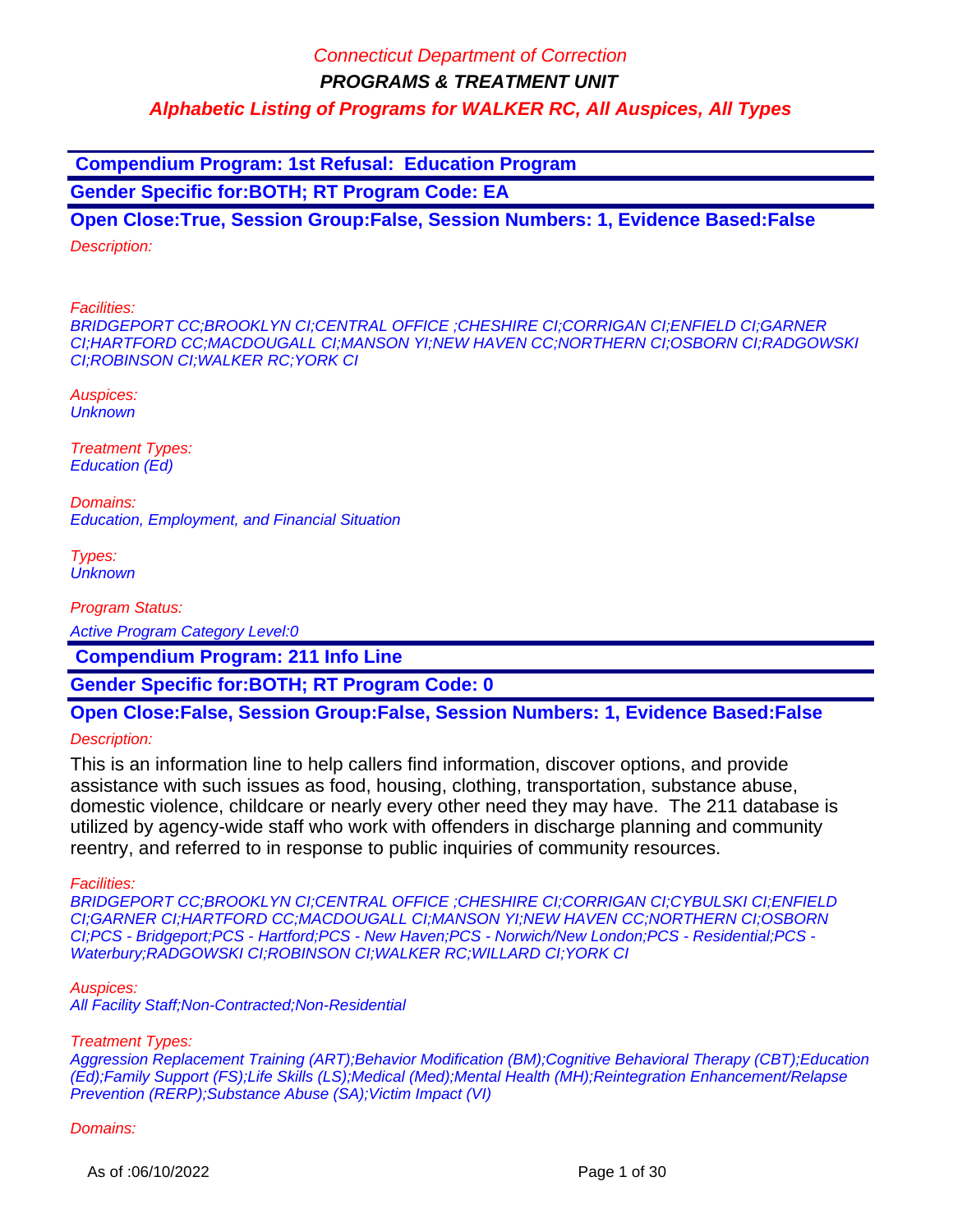**Compendium Program: 1st Refusal: Education Program**

**Gender Specific for:BOTH; RT Program Code: EA**

**Open Close:True, Session Group:False, Session Numbers: 1, Evidence Based:False** Description:

Facilities:

BRIDGEPORT CC;BROOKLYN CI;CENTRAL OFFICE ;CHESHIRE CI;CORRIGAN CI;ENFIELD CI;GARNER CI;HARTFORD CC;MACDOUGALL CI;MANSON YI;NEW HAVEN CC;NORTHERN CI;OSBORN CI;RADGOWSKI CI;ROBINSON CI;WALKER RC;YORK CI

Auspices: **Unknown** 

Treatment Types: Education (Ed)

Domains: Education, Employment, and Financial Situation

Types: **Unknown** 

Program Status:

Active Program Category Level:0

 **Compendium Program: 211 Info Line**

**Gender Specific for:BOTH; RT Program Code: 0**

# **Open Close:False, Session Group:False, Session Numbers: 1, Evidence Based:False**

Description:

This is an information line to help callers find information, discover options, and provide assistance with such issues as food, housing, clothing, transportation, substance abuse, domestic violence, childcare or nearly every other need they may have. The 211 database is utilized by agency-wide staff who work with offenders in discharge planning and community reentry, and referred to in response to public inquiries of community resources.

Facilities:

BRIDGEPORT CC;BROOKLYN CI;CENTRAL OFFICE ;CHESHIRE CI;CORRIGAN CI;CYBULSKI CI;ENFIELD CI;GARNER CI;HARTFORD CC;MACDOUGALL CI;MANSON YI;NEW HAVEN CC;NORTHERN CI;OSBORN CI;PCS - Bridgeport;PCS - Hartford;PCS - New Haven;PCS - Norwich/New London;PCS - Residential;PCS - Waterbury;RADGOWSKI CI;ROBINSON CI;WALKER RC;WILLARD CI;YORK CI

Auspices:

All Facility Staff;Non-Contracted;Non-Residential

#### Treatment Types:

Aggression Replacement Training (ART);Behavior Modification (BM);Cognitive Behavioral Therapy (CBT);Education (Ed);Family Support (FS);Life Skills (LS);Medical (Med);Mental Health (MH);Reintegration Enhancement/Relapse Prevention (RERP);Substance Abuse (SA);Victim Impact (VI)

#### Domains: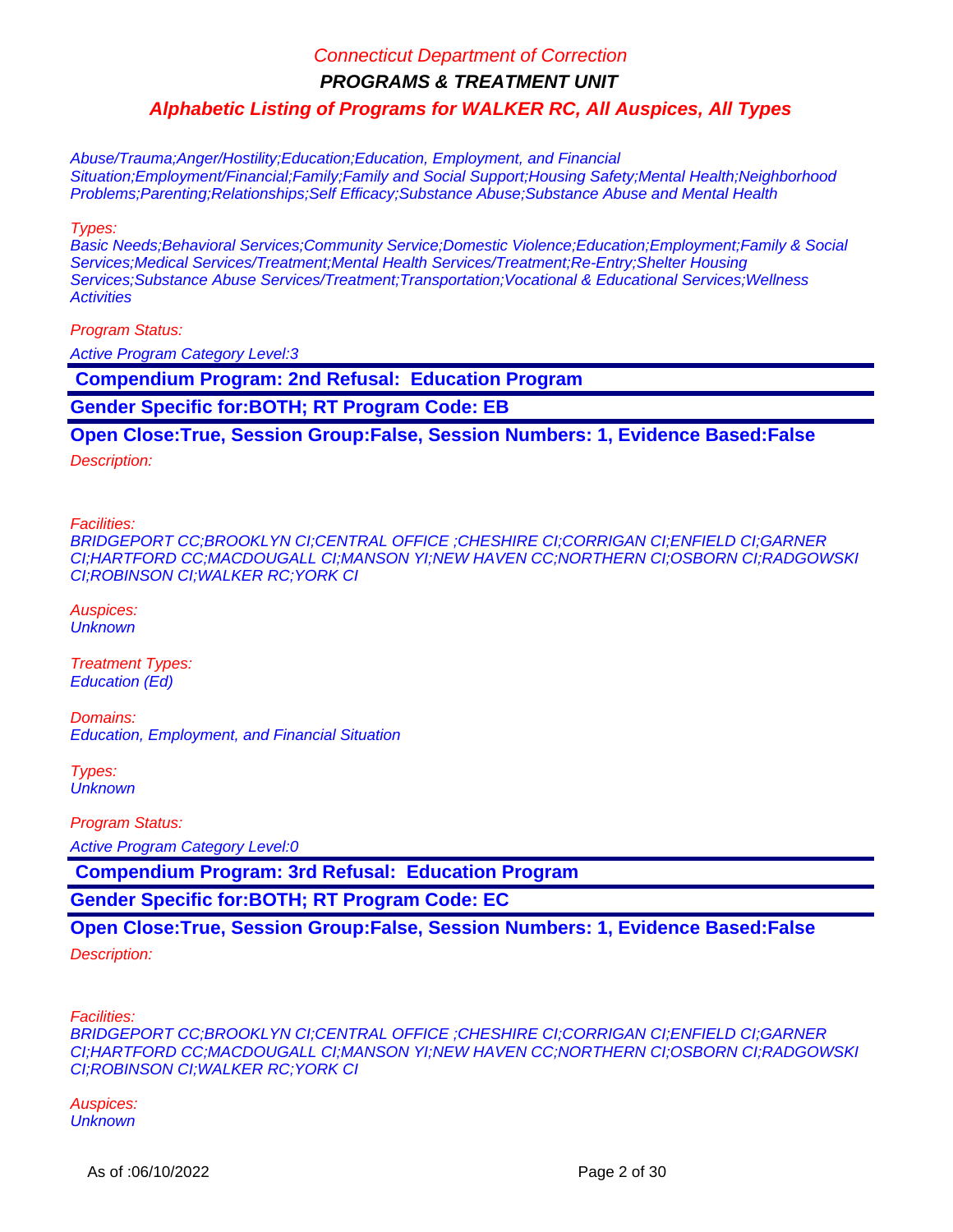**PROGRAMS & TREATMENT UNIT**

**Alphabetic Listing of Programs for WALKER RC, All Auspices, All Types**

Abuse/Trauma;Anger/Hostility;Education;Education, Employment, and Financial Situation;Employment/Financial;Family;Family and Social Support;Housing Safety;Mental Health;Neighborhood Problems;Parenting;Relationships;Self Efficacy;Substance Abuse;Substance Abuse and Mental Health

Types:

Basic Needs;Behavioral Services;Community Service;Domestic Violence;Education;Employment;Family & Social Services;Medical Services/Treatment;Mental Health Services/Treatment;Re-Entry;Shelter Housing Services; Substance Abuse Services/Treatment; Transportation; Vocational & Educational Services; Wellness **Activities** 

Program Status:

Active Program Category Level:3

 **Compendium Program: 2nd Refusal: Education Program**

**Gender Specific for:BOTH; RT Program Code: EB**

**Open Close:True, Session Group:False, Session Numbers: 1, Evidence Based:False**

Description:

Facilities:

BRIDGEPORT CC;BROOKLYN CI;CENTRAL OFFICE ;CHESHIRE CI;CORRIGAN CI;ENFIELD CI;GARNER CI;HARTFORD CC;MACDOUGALL CI;MANSON YI;NEW HAVEN CC;NORTHERN CI;OSBORN CI;RADGOWSKI CI;ROBINSON CI;WALKER RC;YORK CI

Auspices: **Unknown** 

Treatment Types: Education (Ed)

Domains: Education, Employment, and Financial Situation

Types: **Unknown** 

Program Status:

Active Program Category Level:0

 **Compendium Program: 3rd Refusal: Education Program**

**Gender Specific for:BOTH; RT Program Code: EC**

**Open Close:True, Session Group:False, Session Numbers: 1, Evidence Based:False**

Description:

Facilities:

BRIDGEPORT CC;BROOKLYN CI;CENTRAL OFFICE ;CHESHIRE CI;CORRIGAN CI;ENFIELD CI;GARNER CI;HARTFORD CC;MACDOUGALL CI;MANSON YI;NEW HAVEN CC;NORTHERN CI;OSBORN CI;RADGOWSKI CI;ROBINSON CI;WALKER RC;YORK CI

Auspices: **Unknown**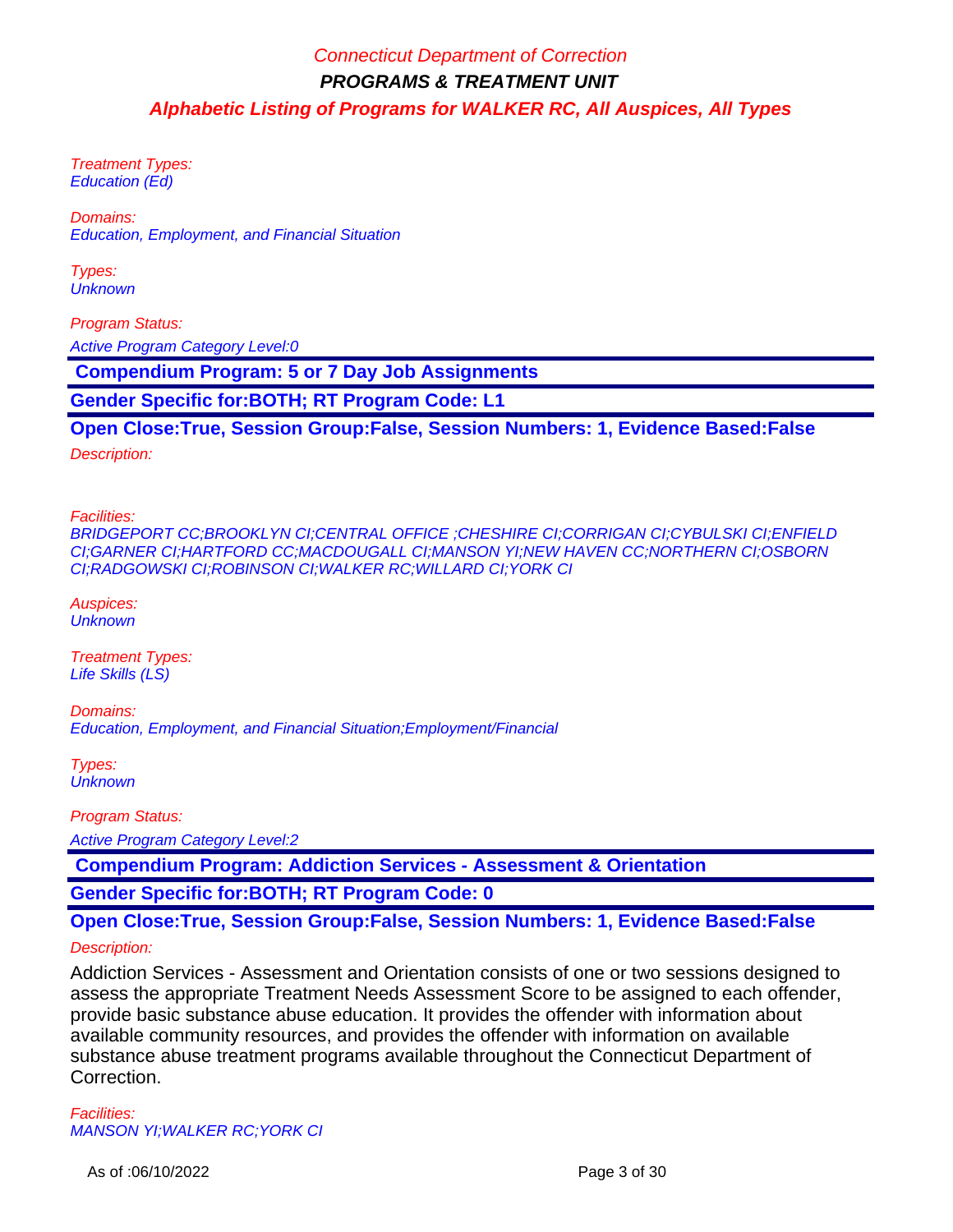Treatment Types: Education (Ed)

Domains: Education, Employment, and Financial Situation

Types: **Unknown** 

Program Status: Active Program Category Level:0

 **Compendium Program: 5 or 7 Day Job Assignments**

**Gender Specific for:BOTH; RT Program Code: L1**

**Open Close:True, Session Group:False, Session Numbers: 1, Evidence Based:False**

Description:

Facilities:

BRIDGEPORT CC;BROOKLYN CI;CENTRAL OFFICE ;CHESHIRE CI;CORRIGAN CI;CYBULSKI CI;ENFIELD CI;GARNER CI;HARTFORD CC;MACDOUGALL CI;MANSON YI;NEW HAVEN CC;NORTHERN CI;OSBORN CI;RADGOWSKI CI;ROBINSON CI;WALKER RC;WILLARD CI;YORK CI

Auspices: **Unknown** 

Treatment Types: Life Skills (LS)

Domains: Education, Employment, and Financial Situation;Employment/Financial

Types: **Unknown** 

Program Status:

Active Program Category Level:2

 **Compendium Program: Addiction Services - Assessment & Orientation**

**Gender Specific for:BOTH; RT Program Code: 0**

### **Open Close:True, Session Group:False, Session Numbers: 1, Evidence Based:False**

Description:

Addiction Services - Assessment and Orientation consists of one or two sessions designed to assess the appropriate Treatment Needs Assessment Score to be assigned to each offender, provide basic substance abuse education. It provides the offender with information about available community resources, and provides the offender with information on available substance abuse treatment programs available throughout the Connecticut Department of Correction.

Facilities: MANSON YI;WALKER RC;YORK CI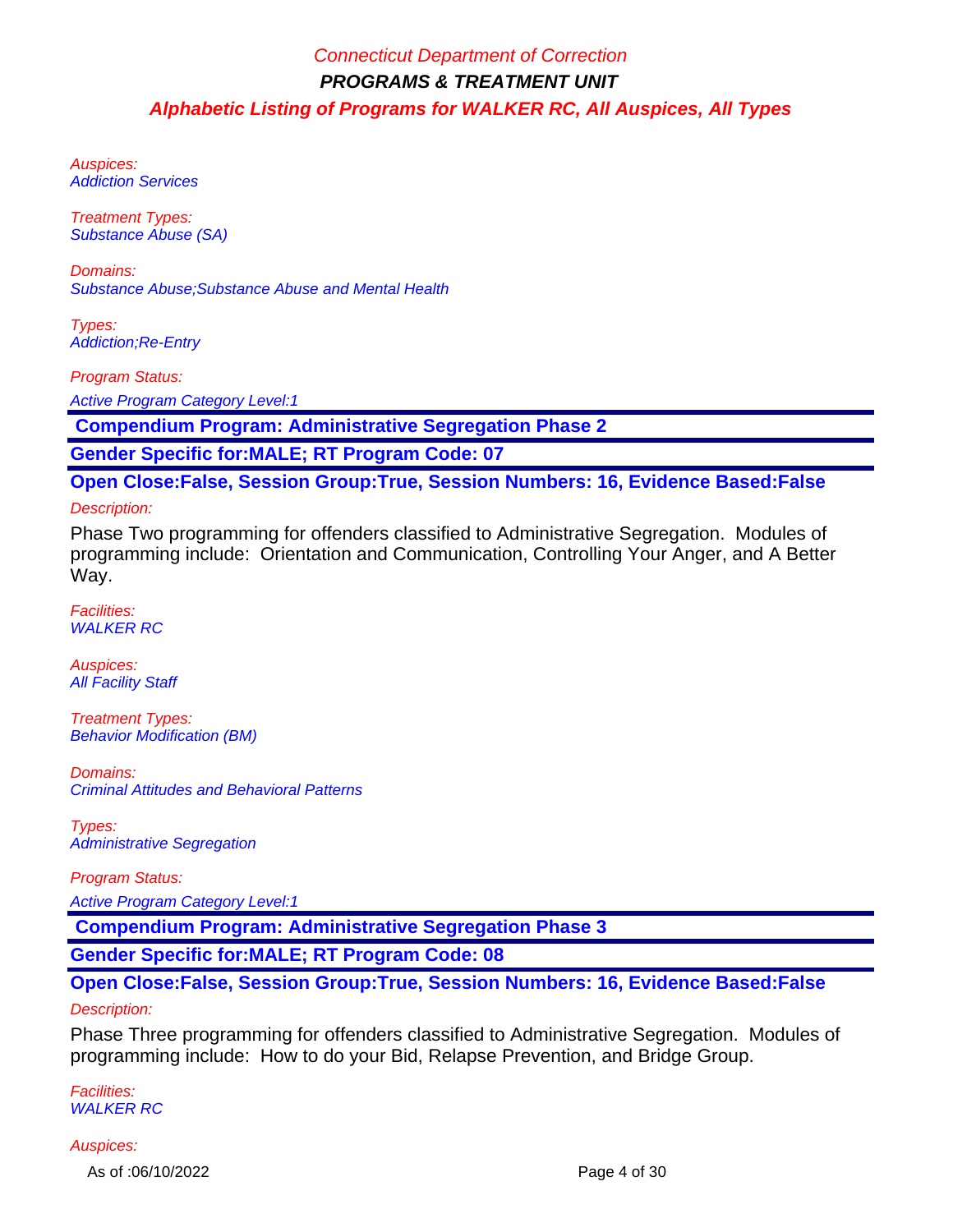Auspices: Addiction Services

Treatment Types: Substance Abuse (SA)

Domains: Substance Abuse;Substance Abuse and Mental Health

Types: Addiction;Re-Entry

Program Status: Active Program Category Level:1

 **Compendium Program: Administrative Segregation Phase 2**

**Gender Specific for:MALE; RT Program Code: 07**

**Open Close:False, Session Group:True, Session Numbers: 16, Evidence Based:False**

Description:

Phase Two programming for offenders classified to Administrative Segregation. Modules of programming include: Orientation and Communication, Controlling Your Anger, and A Better Way.

Facilities: WALKER RC

Auspices: **All Facility Staff** 

Treatment Types: Behavior Modification (BM)

Domains: Criminal Attitudes and Behavioral Patterns

Types: Administrative Segregation

Program Status:

Active Program Category Level:1

 **Compendium Program: Administrative Segregation Phase 3**

**Gender Specific for:MALE; RT Program Code: 08**

# **Open Close:False, Session Group:True, Session Numbers: 16, Evidence Based:False**

### Description:

Phase Three programming for offenders classified to Administrative Segregation. Modules of programming include: How to do your Bid, Relapse Prevention, and Bridge Group.

Facilities: WALKER RC

#### Auspices:

As of :06/10/2022 Page 4 of 30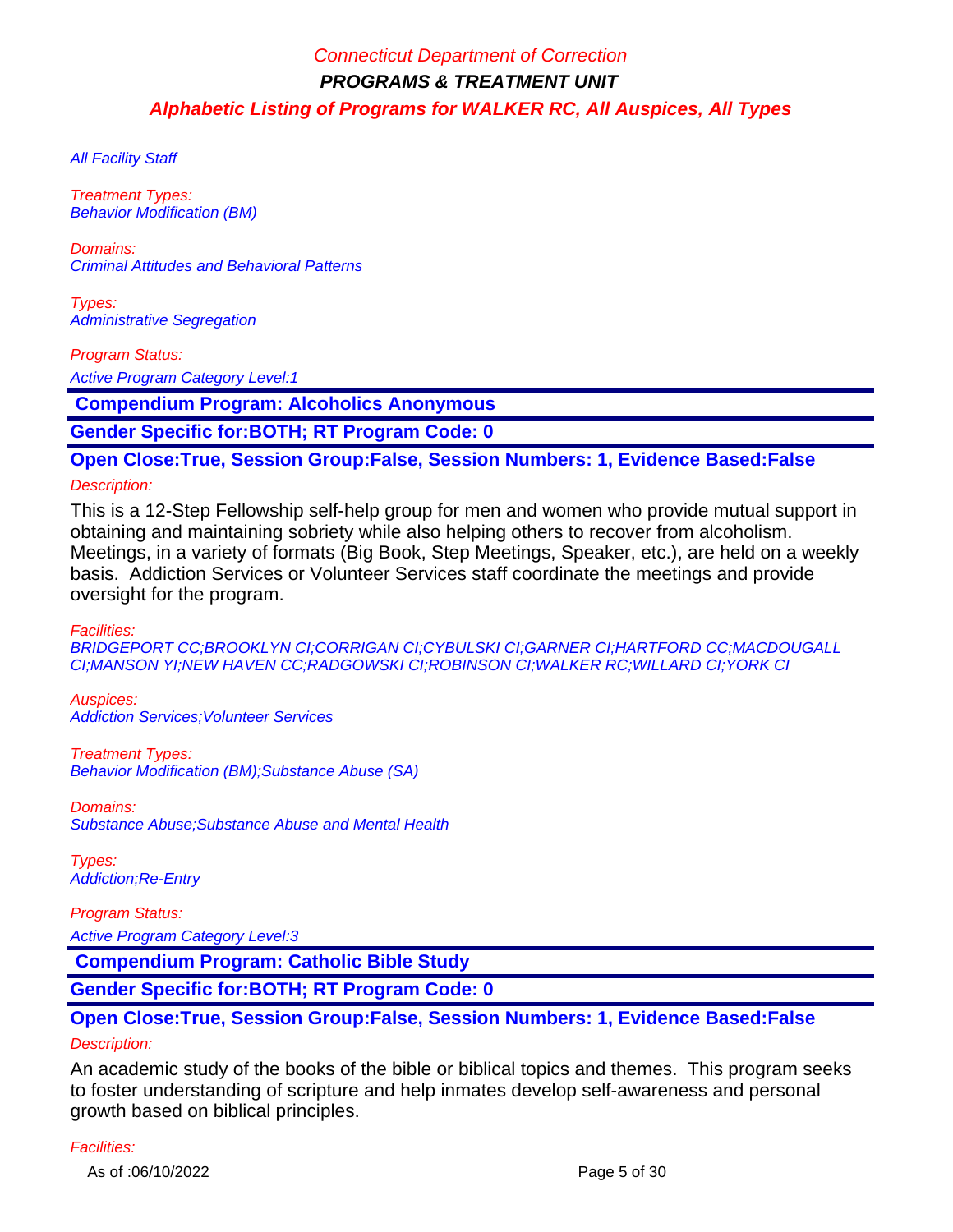**All Facility Staff** 

Treatment Types: Behavior Modification (BM)

Domains: Criminal Attitudes and Behavioral Patterns

Types: Administrative Segregation

Program Status:

Active Program Category Level:1

 **Compendium Program: Alcoholics Anonymous**

**Gender Specific for:BOTH; RT Program Code: 0**

**Open Close:True, Session Group:False, Session Numbers: 1, Evidence Based:False**

#### Description:

This is a 12-Step Fellowship self-help group for men and women who provide mutual support in obtaining and maintaining sobriety while also helping others to recover from alcoholism. Meetings, in a variety of formats (Big Book, Step Meetings, Speaker, etc.), are held on a weekly basis. Addiction Services or Volunteer Services staff coordinate the meetings and provide oversight for the program.

Facilities:

BRIDGEPORT CC;BROOKLYN CI;CORRIGAN CI;CYBULSKI CI;GARNER CI;HARTFORD CC;MACDOUGALL CI;MANSON YI;NEW HAVEN CC;RADGOWSKI CI;ROBINSON CI;WALKER RC;WILLARD CI;YORK CI

Auspices: Addiction Services;Volunteer Services

Treatment Types: Behavior Modification (BM);Substance Abuse (SA)

Domains: Substance Abuse;Substance Abuse and Mental Health

Types: Addiction;Re-Entry

Program Status: Active Program Category Level:3

 **Compendium Program: Catholic Bible Study**

**Gender Specific for:BOTH; RT Program Code: 0**

### **Open Close:True, Session Group:False, Session Numbers: 1, Evidence Based:False**

### Description:

An academic study of the books of the bible or biblical topics and themes. This program seeks to foster understanding of scripture and help inmates develop self-awareness and personal growth based on biblical principles.

#### Facilities:

As of :06/10/2022 Page 5 of 30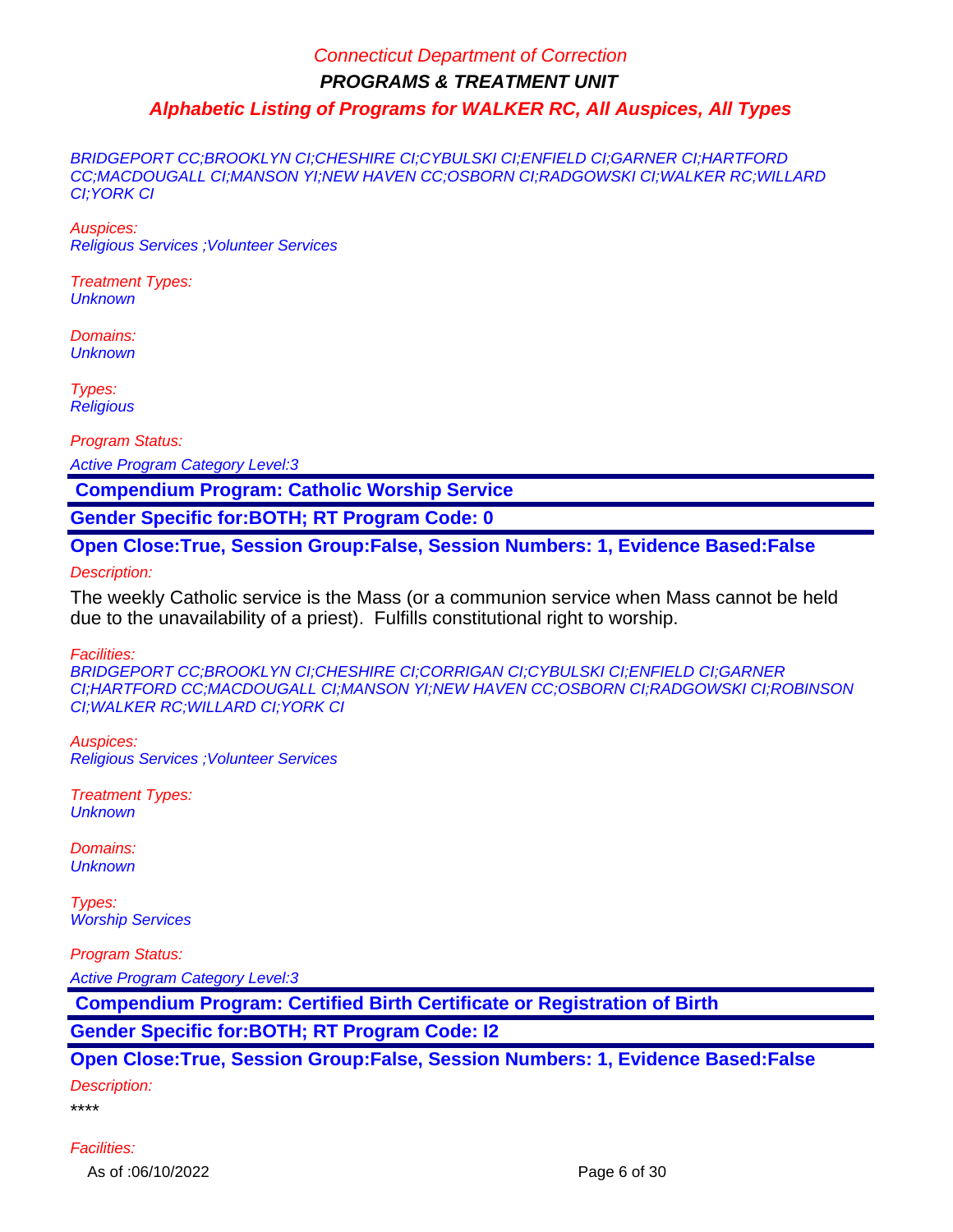BRIDGEPORT CC;BROOKLYN CI;CHESHIRE CI;CYBULSKI CI;ENFIELD CI;GARNER CI;HARTFORD CC;MACDOUGALL CI;MANSON YI;NEW HAVEN CC;OSBORN CI;RADGOWSKI CI;WALKER RC;WILLARD CI;YORK CI

Auspices: Religious Services ;Volunteer Services

Treatment Types: **Unknown** 

Domains: **Unknown** 

Types: **Religious** 

Program Status:

Active Program Category Level:3

 **Compendium Program: Catholic Worship Service**

**Gender Specific for:BOTH; RT Program Code: 0**

**Open Close:True, Session Group:False, Session Numbers: 1, Evidence Based:False**

Description:

The weekly Catholic service is the Mass (or a communion service when Mass cannot be held due to the unavailability of a priest). Fulfills constitutional right to worship.

Facilities:

BRIDGEPORT CC;BROOKLYN CI;CHESHIRE CI;CORRIGAN CI;CYBULSKI CI;ENFIELD CI;GARNER CI;HARTFORD CC;MACDOUGALL CI;MANSON YI;NEW HAVEN CC;OSBORN CI;RADGOWSKI CI;ROBINSON CI;WALKER RC;WILLARD CI;YORK CI

Auspices: Religious Services ;Volunteer Services

Treatment Types: **Unknown** 

Domains: **Unknown** 

Types: Worship Services

Program Status:

Active Program Category Level:3

 **Compendium Program: Certified Birth Certificate or Registration of Birth**

**Gender Specific for:BOTH; RT Program Code: I2**

**Open Close:True, Session Group:False, Session Numbers: 1, Evidence Based:False**

Description:

\*\*\*\*

Facilities: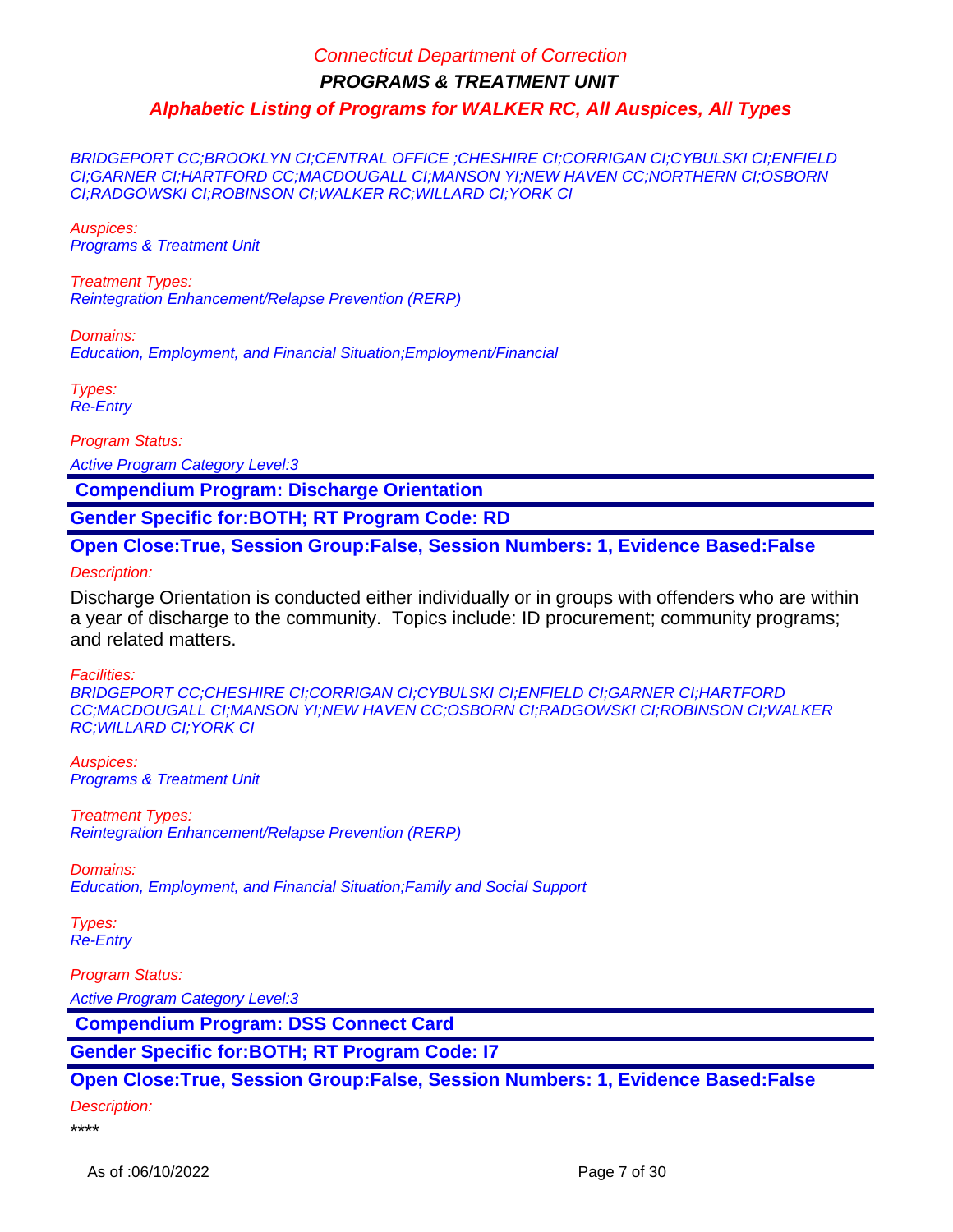BRIDGEPORT CC;BROOKLYN CI;CENTRAL OFFICE ;CHESHIRE CI;CORRIGAN CI;CYBULSKI CI;ENFIELD CI;GARNER CI;HARTFORD CC;MACDOUGALL CI;MANSON YI;NEW HAVEN CC;NORTHERN CI;OSBORN CI;RADGOWSKI CI;ROBINSON CI;WALKER RC;WILLARD CI;YORK CI

Auspices: Programs & Treatment Unit

Treatment Types: Reintegration Enhancement/Relapse Prevention (RERP)

Domains: Education, Employment, and Financial Situation;Employment/Financial

Types: Re-Entry

Program Status:

Active Program Category Level:3

 **Compendium Program: Discharge Orientation**

**Gender Specific for:BOTH; RT Program Code: RD**

**Open Close:True, Session Group:False, Session Numbers: 1, Evidence Based:False**

Description:

Discharge Orientation is conducted either individually or in groups with offenders who are within a year of discharge to the community. Topics include: ID procurement; community programs; and related matters.

Facilities:

BRIDGEPORT CC;CHESHIRE CI;CORRIGAN CI;CYBULSKI CI;ENFIELD CI;GARNER CI;HARTFORD CC;MACDOUGALL CI;MANSON YI;NEW HAVEN CC;OSBORN CI;RADGOWSKI CI;ROBINSON CI;WALKER RC;WILLARD CI;YORK CI

Auspices: Programs & Treatment Unit

Treatment Types: Reintegration Enhancement/Relapse Prevention (RERP)

Domains: Education, Employment, and Financial Situation;Family and Social Support

Types: Re-Entry

Program Status:

Active Program Category Level:3

 **Compendium Program: DSS Connect Card**

**Gender Specific for:BOTH; RT Program Code: I7**

**Open Close:True, Session Group:False, Session Numbers: 1, Evidence Based:False**

Description:

\*\*\*\*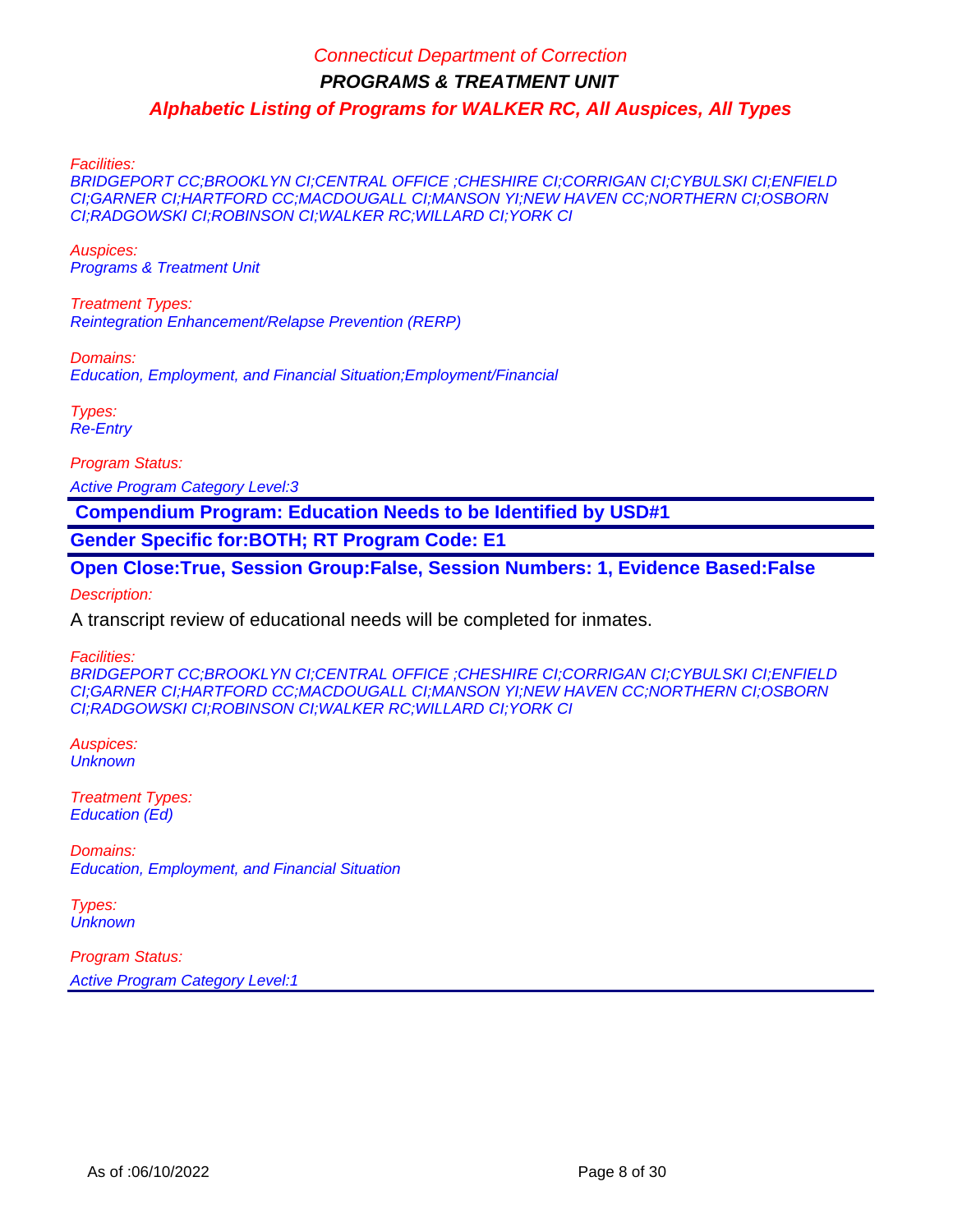Facilities:

BRIDGEPORT CC;BROOKLYN CI;CENTRAL OFFICE ;CHESHIRE CI;CORRIGAN CI;CYBULSKI CI;ENFIELD CI;GARNER CI;HARTFORD CC;MACDOUGALL CI;MANSON YI;NEW HAVEN CC;NORTHERN CI;OSBORN CI;RADGOWSKI CI;ROBINSON CI;WALKER RC;WILLARD CI;YORK CI

Auspices: Programs & Treatment Unit

Treatment Types: Reintegration Enhancement/Relapse Prevention (RERP)

Domains:

Education, Employment, and Financial Situation;Employment/Financial

Types: Re-Entry

Program Status:

Active Program Category Level:3

 **Compendium Program: Education Needs to be Identified by USD#1**

**Gender Specific for:BOTH; RT Program Code: E1**

**Open Close:True, Session Group:False, Session Numbers: 1, Evidence Based:False** Description:

A transcript review of educational needs will be completed for inmates.

Facilities:

BRIDGEPORT CC;BROOKLYN CI;CENTRAL OFFICE ;CHESHIRE CI;CORRIGAN CI;CYBULSKI CI;ENFIELD CI;GARNER CI;HARTFORD CC;MACDOUGALL CI;MANSON YI;NEW HAVEN CC;NORTHERN CI;OSBORN CI;RADGOWSKI CI;ROBINSON CI;WALKER RC;WILLARD CI;YORK CI

Auspices: **Unknown** 

Treatment Types: Education (Ed)

Domains: Education, Employment, and Financial Situation

Types: **Unknown**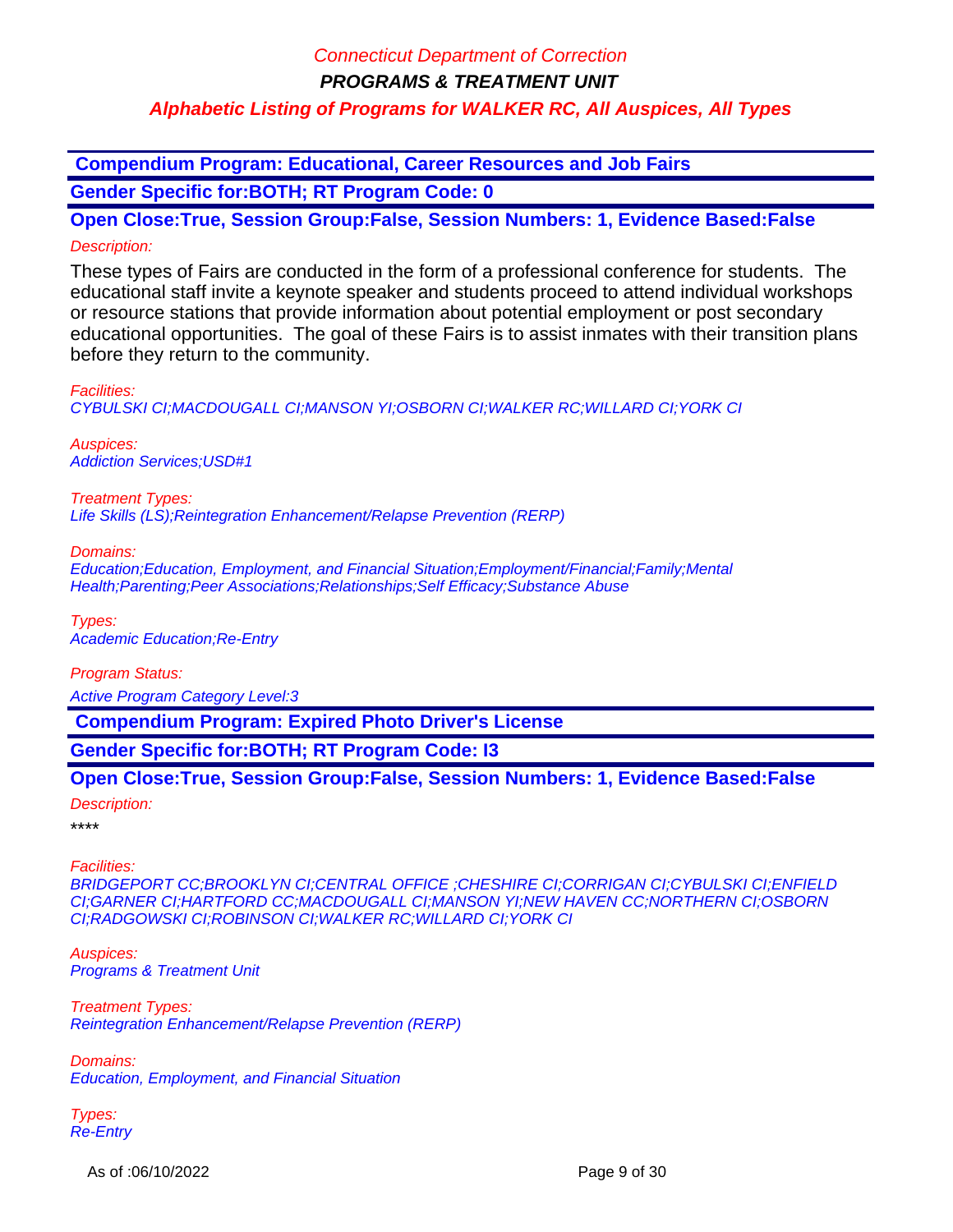**Compendium Program: Educational, Career Resources and Job Fairs**

**Gender Specific for:BOTH; RT Program Code: 0**

**Open Close:True, Session Group:False, Session Numbers: 1, Evidence Based:False** Description:

These types of Fairs are conducted in the form of a professional conference for students. The educational staff invite a keynote speaker and students proceed to attend individual workshops or resource stations that provide information about potential employment or post secondary educational opportunities. The goal of these Fairs is to assist inmates with their transition plans before they return to the community.

Facilities: CYBULSKI CI;MACDOUGALL CI;MANSON YI;OSBORN CI;WALKER RC;WILLARD CI;YORK CI

Auspices: Addiction Services;USD#1

Treatment Types: Life Skills (LS);Reintegration Enhancement/Relapse Prevention (RERP)

Domains:

Education;Education, Employment, and Financial Situation;Employment/Financial;Family;Mental Health;Parenting;Peer Associations;Relationships;Self Efficacy;Substance Abuse

Types: Academic Education;Re-Entry

Program Status:

Active Program Category Level:3

 **Compendium Program: Expired Photo Driver's License**

**Gender Specific for:BOTH; RT Program Code: I3**

**Open Close:True, Session Group:False, Session Numbers: 1, Evidence Based:False**

Description:

\*\*\*\*

Facilities:

BRIDGEPORT CC;BROOKLYN CI;CENTRAL OFFICE ;CHESHIRE CI;CORRIGAN CI;CYBULSKI CI;ENFIELD CI;GARNER CI;HARTFORD CC;MACDOUGALL CI;MANSON YI;NEW HAVEN CC;NORTHERN CI;OSBORN CI;RADGOWSKI CI;ROBINSON CI;WALKER RC;WILLARD CI;YORK CI

Auspices: Programs & Treatment Unit

Treatment Types: Reintegration Enhancement/Relapse Prevention (RERP)

Domains: Education, Employment, and Financial Situation

Types: Re-Entry

As of :06/10/2022 Page 9 of 30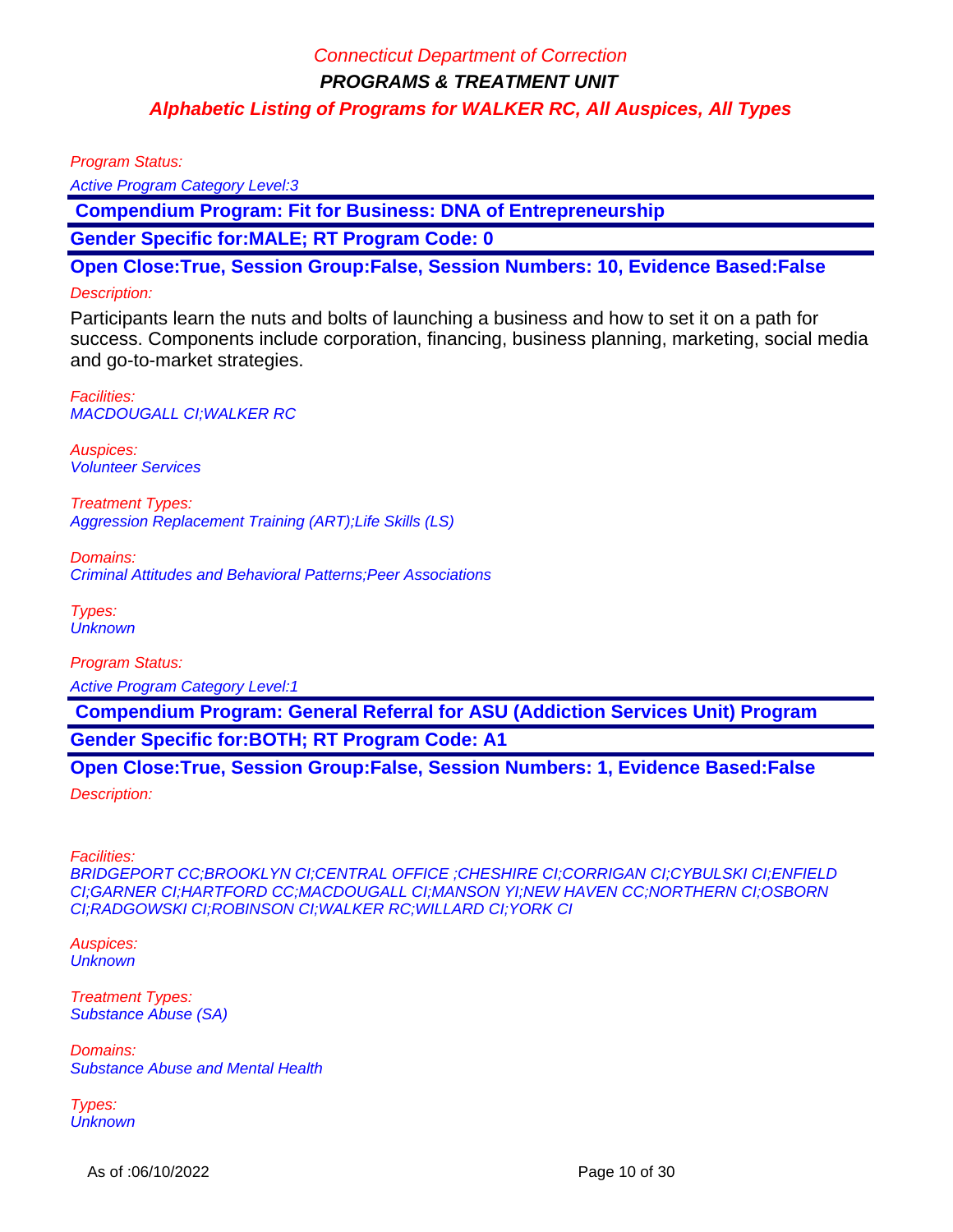Program Status:

Active Program Category Level:3

 **Compendium Program: Fit for Business: DNA of Entrepreneurship** 

**Gender Specific for:MALE; RT Program Code: 0**

**Open Close:True, Session Group:False, Session Numbers: 10, Evidence Based:False**

#### Description:

Participants learn the nuts and bolts of launching a business and how to set it on a path for success. Components include corporation, financing, business planning, marketing, social media and go-to-market strategies.

Facilities: MACDOUGALL CI;WALKER RC

Auspices: Volunteer Services

Treatment Types: Aggression Replacement Training (ART);Life Skills (LS)

Domains: Criminal Attitudes and Behavioral Patterns;Peer Associations

Types: **Unknown** 

Program Status: Active Program Category Level:1

 **Compendium Program: General Referral for ASU (Addiction Services Unit) Program Gender Specific for:BOTH; RT Program Code: A1**

**Open Close:True, Session Group:False, Session Numbers: 1, Evidence Based:False** Description:

Facilities:

BRIDGEPORT CC;BROOKLYN CI;CENTRAL OFFICE ;CHESHIRE CI;CORRIGAN CI;CYBULSKI CI;ENFIELD CI;GARNER CI;HARTFORD CC;MACDOUGALL CI;MANSON YI;NEW HAVEN CC;NORTHERN CI;OSBORN CI;RADGOWSKI CI;ROBINSON CI;WALKER RC;WILLARD CI;YORK CI

Auspices: **Unknown** 

Treatment Types: Substance Abuse (SA)

Domains: Substance Abuse and Mental Health

Types: **Unknown** 

As of :06/10/2022 **Page 10 of 30**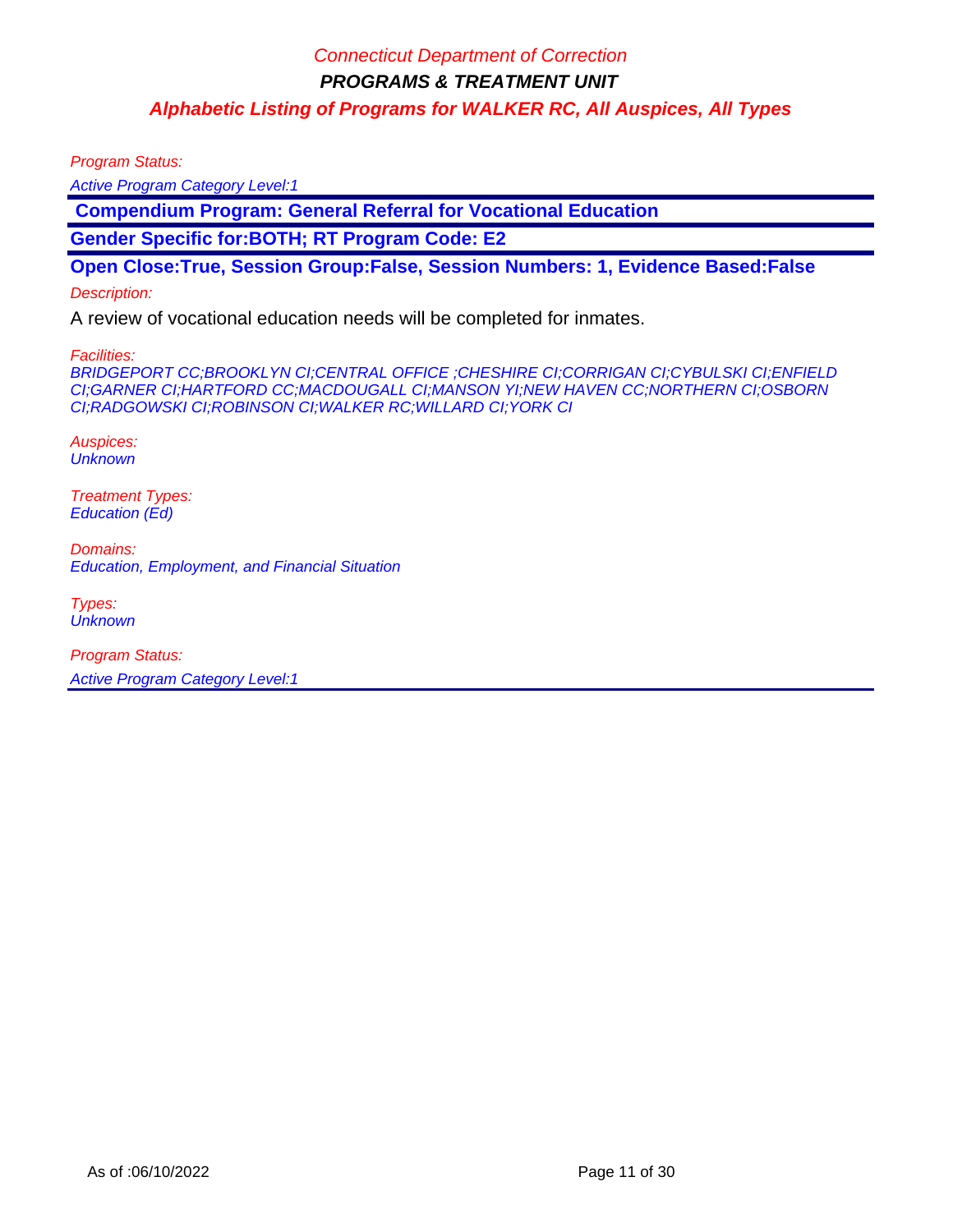Program Status:

Active Program Category Level:1

 **Compendium Program: General Referral for Vocational Education**

**Gender Specific for:BOTH; RT Program Code: E2**

**Open Close:True, Session Group:False, Session Numbers: 1, Evidence Based:False**

#### Description:

A review of vocational education needs will be completed for inmates.

Facilities:

BRIDGEPORT CC;BROOKLYN CI;CENTRAL OFFICE ;CHESHIRE CI;CORRIGAN CI;CYBULSKI CI;ENFIELD CI;GARNER CI;HARTFORD CC;MACDOUGALL CI;MANSON YI;NEW HAVEN CC;NORTHERN CI;OSBORN CI;RADGOWSKI CI;ROBINSON CI;WALKER RC;WILLARD CI;YORK CI

Auspices: **Unknown** 

Treatment Types: Education (Ed)

Domains: Education, Employment, and Financial Situation

Types: **Unknown**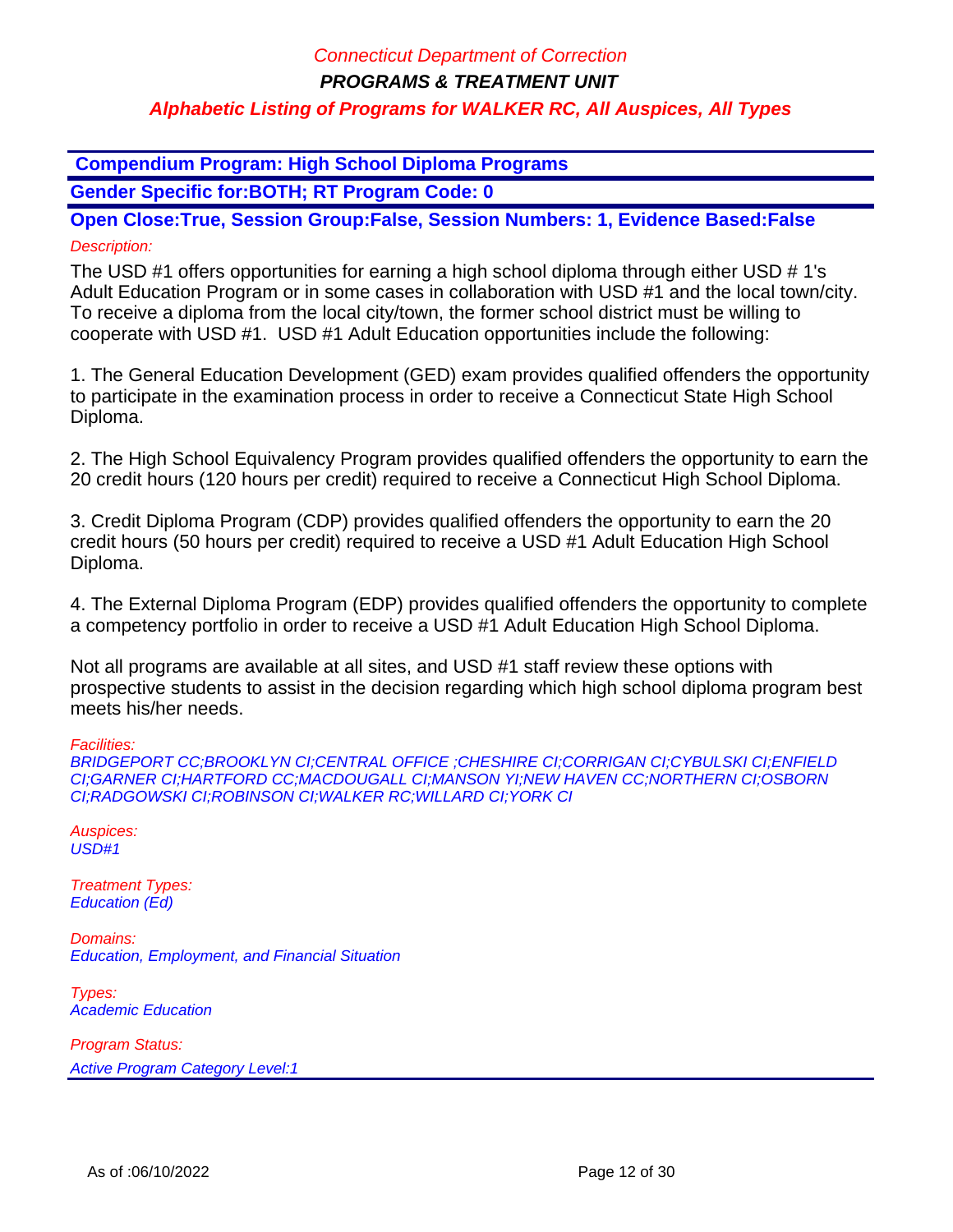**Compendium Program: High School Diploma Programs**

**Gender Specific for:BOTH; RT Program Code: 0**

**Open Close:True, Session Group:False, Session Numbers: 1, Evidence Based:False** Description:

The USD #1 offers opportunities for earning a high school diploma through either USD # 1's Adult Education Program or in some cases in collaboration with USD #1 and the local town/city. To receive a diploma from the local city/town, the former school district must be willing to cooperate with USD #1. USD #1 Adult Education opportunities include the following:

1. The General Education Development (GED) exam provides qualified offenders the opportunity to participate in the examination process in order to receive a Connecticut State High School Diploma.

2. The High School Equivalency Program provides qualified offenders the opportunity to earn the 20 credit hours (120 hours per credit) required to receive a Connecticut High School Diploma.

3. Credit Diploma Program (CDP) provides qualified offenders the opportunity to earn the 20 credit hours (50 hours per credit) required to receive a USD #1 Adult Education High School Diploma.

4. The External Diploma Program (EDP) provides qualified offenders the opportunity to complete a competency portfolio in order to receive a USD #1 Adult Education High School Diploma.

Not all programs are available at all sites, and USD #1 staff review these options with prospective students to assist in the decision regarding which high school diploma program best meets his/her needs.

Facilities:

BRIDGEPORT CC;BROOKLYN CI;CENTRAL OFFICE ;CHESHIRE CI;CORRIGAN CI;CYBULSKI CI;ENFIELD CI;GARNER CI;HARTFORD CC;MACDOUGALL CI;MANSON YI;NEW HAVEN CC;NORTHERN CI;OSBORN CI;RADGOWSKI CI;ROBINSON CI;WALKER RC;WILLARD CI;YORK CI

Auspices:  $USD#1$ 

Treatment Types: Education (Ed)

Domains: Education, Employment, and Financial Situation

Types: Academic Education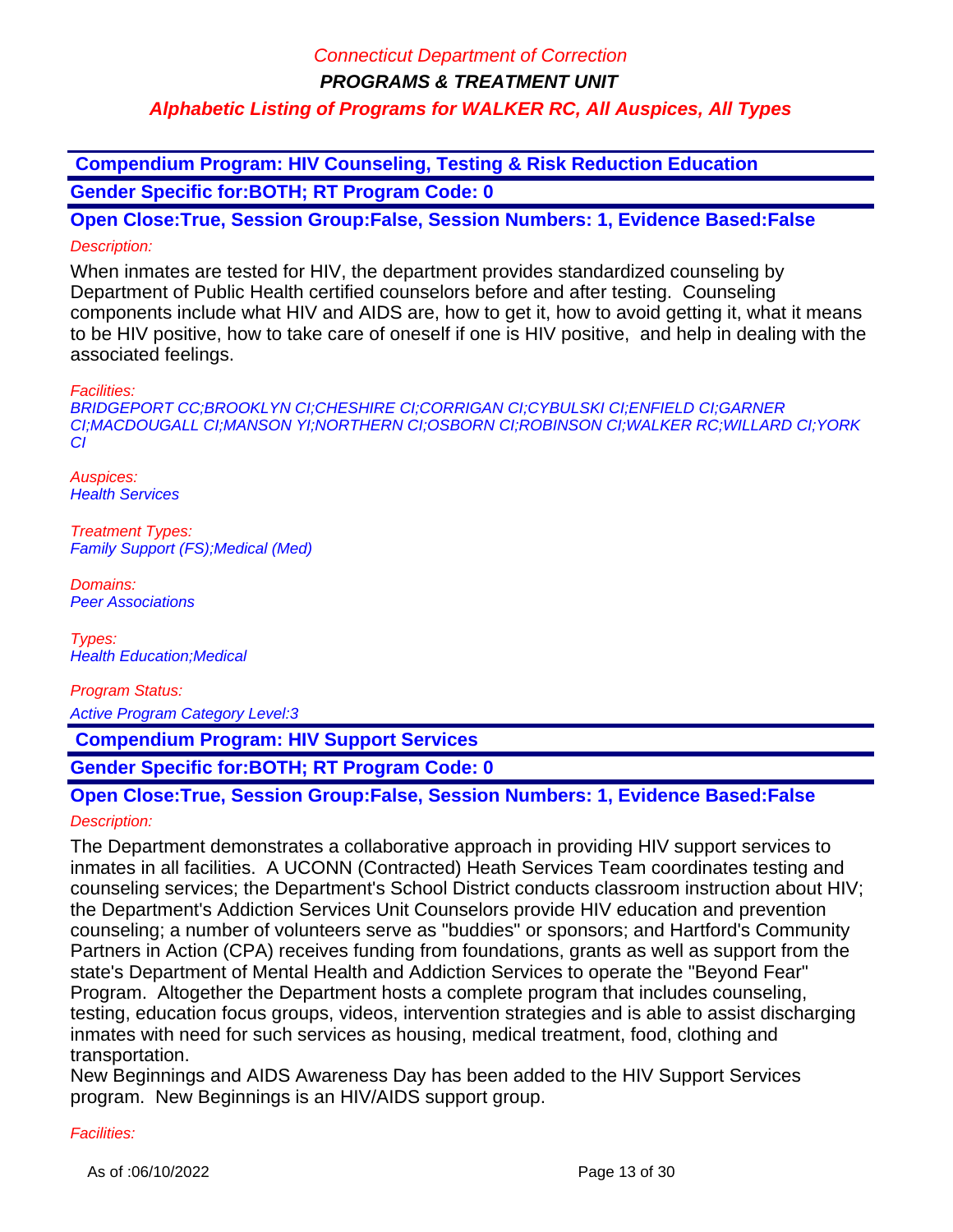**Compendium Program: HIV Counseling, Testing & Risk Reduction Education Gender Specific for:BOTH; RT Program Code: 0**

**Open Close:True, Session Group:False, Session Numbers: 1, Evidence Based:False** Description:

When inmates are tested for HIV, the department provides standardized counseling by Department of Public Health certified counselors before and after testing. Counseling components include what HIV and AIDS are, how to get it, how to avoid getting it, what it means to be HIV positive, how to take care of oneself if one is HIV positive, and help in dealing with the associated feelings.

Facilities:

BRIDGEPORT CC;BROOKLYN CI;CHESHIRE CI;CORRIGAN CI;CYBULSKI CI;ENFIELD CI;GARNER CI;MACDOUGALL CI;MANSON YI;NORTHERN CI;OSBORN CI;ROBINSON CI;WALKER RC;WILLARD CI;YORK CI

Auspices: **Health Services** 

Treatment Types: Family Support (FS);Medical (Med)

Domains: Peer Associations

Types: Health Education;Medical

Program Status:

Active Program Category Level:3

 **Compendium Program: HIV Support Services**

**Gender Specific for:BOTH; RT Program Code: 0**

# **Open Close:True, Session Group:False, Session Numbers: 1, Evidence Based:False**

### Description:

The Department demonstrates a collaborative approach in providing HIV support services to inmates in all facilities. A UCONN (Contracted) Heath Services Team coordinates testing and counseling services; the Department's School District conducts classroom instruction about HIV; the Department's Addiction Services Unit Counselors provide HIV education and prevention counseling; a number of volunteers serve as "buddies" or sponsors; and Hartford's Community Partners in Action (CPA) receives funding from foundations, grants as well as support from the state's Department of Mental Health and Addiction Services to operate the "Beyond Fear" Program. Altogether the Department hosts a complete program that includes counseling, testing, education focus groups, videos, intervention strategies and is able to assist discharging inmates with need for such services as housing, medical treatment, food, clothing and transportation.

New Beginnings and AIDS Awareness Day has been added to the HIV Support Services program. New Beginnings is an HIV/AIDS support group.

#### Facilities: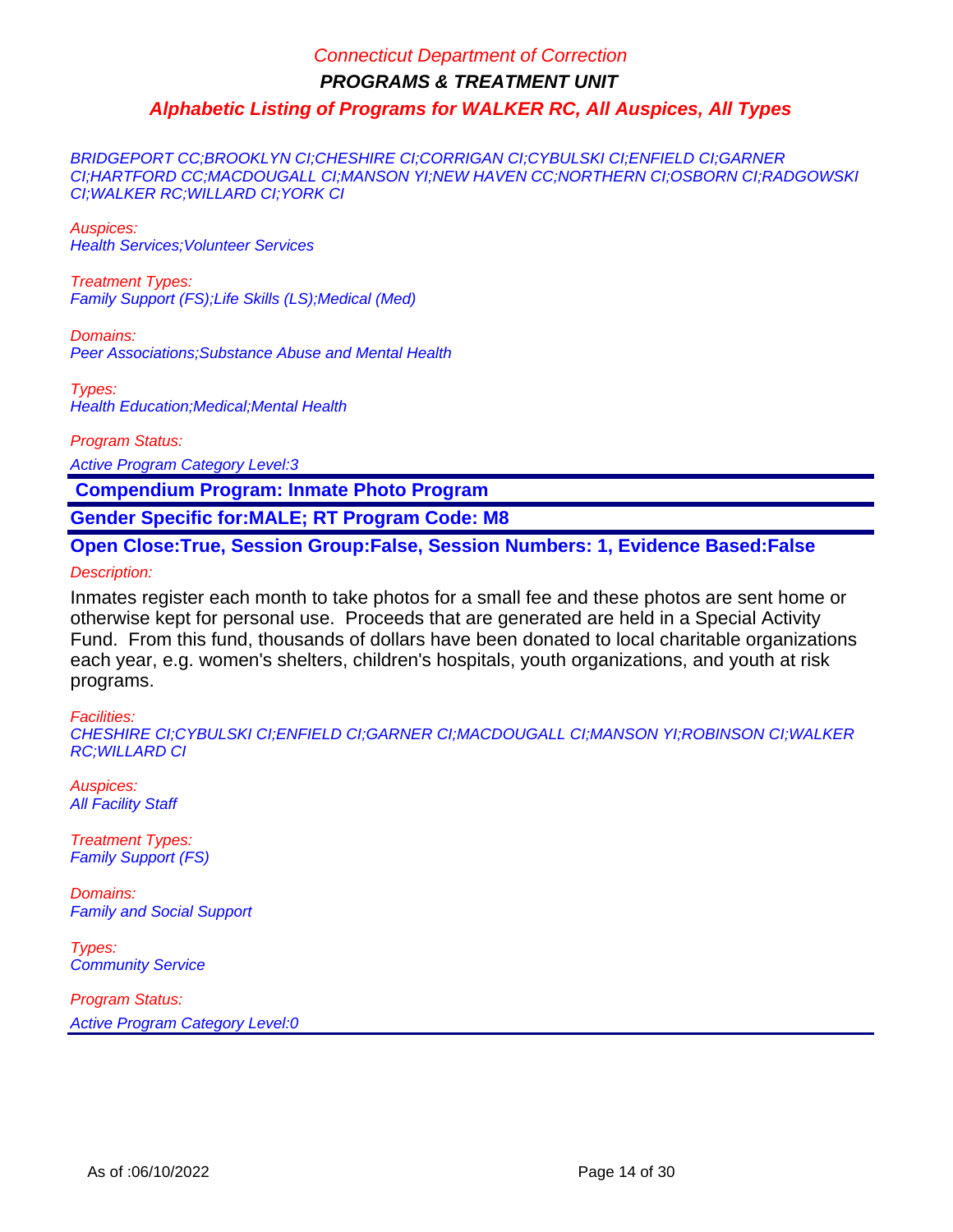BRIDGEPORT CC;BROOKLYN CI;CHESHIRE CI;CORRIGAN CI;CYBULSKI CI;ENFIELD CI;GARNER CI;HARTFORD CC;MACDOUGALL CI;MANSON YI;NEW HAVEN CC;NORTHERN CI;OSBORN CI;RADGOWSKI CI;WALKER RC;WILLARD CI;YORK CI

Auspices: Health Services;Volunteer Services

Treatment Types: Family Support (FS);Life Skills (LS);Medical (Med)

Domains: Peer Associations;Substance Abuse and Mental Health

Types: Health Education;Medical;Mental Health

Program Status:

Active Program Category Level:3

 **Compendium Program: Inmate Photo Program**

**Gender Specific for:MALE; RT Program Code: M8**

**Open Close:True, Session Group:False, Session Numbers: 1, Evidence Based:False**

Description:

Inmates register each month to take photos for a small fee and these photos are sent home or otherwise kept for personal use. Proceeds that are generated are held in a Special Activity Fund. From this fund, thousands of dollars have been donated to local charitable organizations each year, e.g. women's shelters, children's hospitals, youth organizations, and youth at risk programs.

#### Facilities:

CHESHIRE CI;CYBULSKI CI;ENFIELD CI;GARNER CI;MACDOUGALL CI;MANSON YI;ROBINSON CI;WALKER RC;WILLARD CI

Auspices: **All Facility Staff** 

Treatment Types: Family Support (FS)

Domains: Family and Social Support

Types: **Community Service**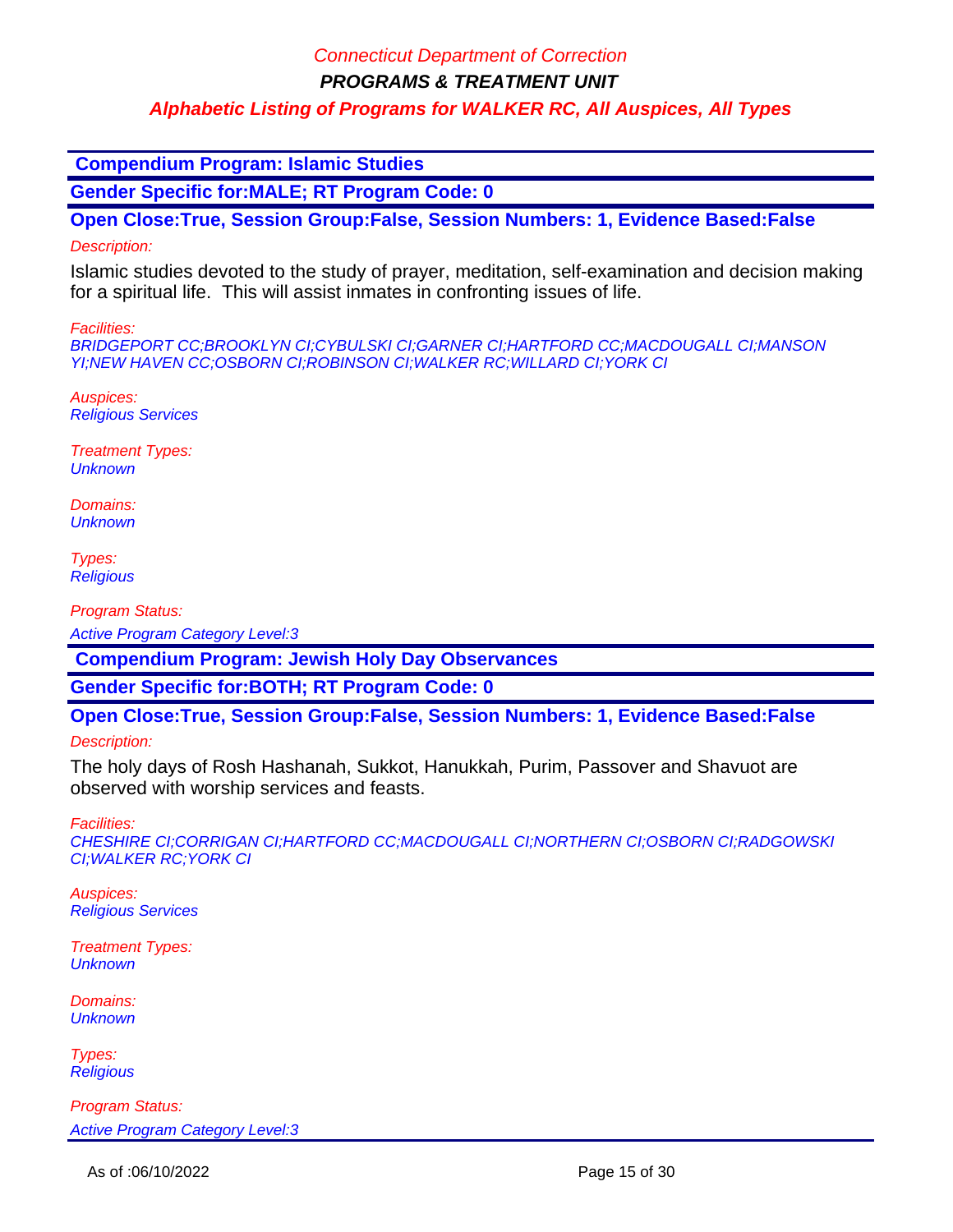**PROGRAMS & TREATMENT UNIT**

### **Alphabetic Listing of Programs for WALKER RC, All Auspices, All Types**

 **Compendium Program: Islamic Studies**

**Gender Specific for:MALE; RT Program Code: 0**

**Open Close:True, Session Group:False, Session Numbers: 1, Evidence Based:False**

### Description:

Islamic studies devoted to the study of prayer, meditation, self-examination and decision making for a spiritual life. This will assist inmates in confronting issues of life.

Facilities:

BRIDGEPORT CC;BROOKLYN CI;CYBULSKI CI;GARNER CI;HARTFORD CC;MACDOUGALL CI;MANSON YI;NEW HAVEN CC;OSBORN CI;ROBINSON CI;WALKER RC;WILLARD CI;YORK CI

Auspices: Religious Services

Treatment Types: **Unknown** 

Domains: **Unknown** 

Types: **Religious** 

Program Status:

Active Program Category Level:3

 **Compendium Program: Jewish Holy Day Observances**

**Gender Specific for:BOTH; RT Program Code: 0**

**Open Close:True, Session Group:False, Session Numbers: 1, Evidence Based:False**

Description:

The holy days of Rosh Hashanah, Sukkot, Hanukkah, Purim, Passover and Shavuot are observed with worship services and feasts.

Facilities:

CHESHIRE CI;CORRIGAN CI;HARTFORD CC;MACDOUGALL CI;NORTHERN CI;OSBORN CI;RADGOWSKI CI;WALKER RC;YORK CI

Auspices: Religious Services

Treatment Types: **Unknown** 

Domains: **Unknown** 

Types: **Religious**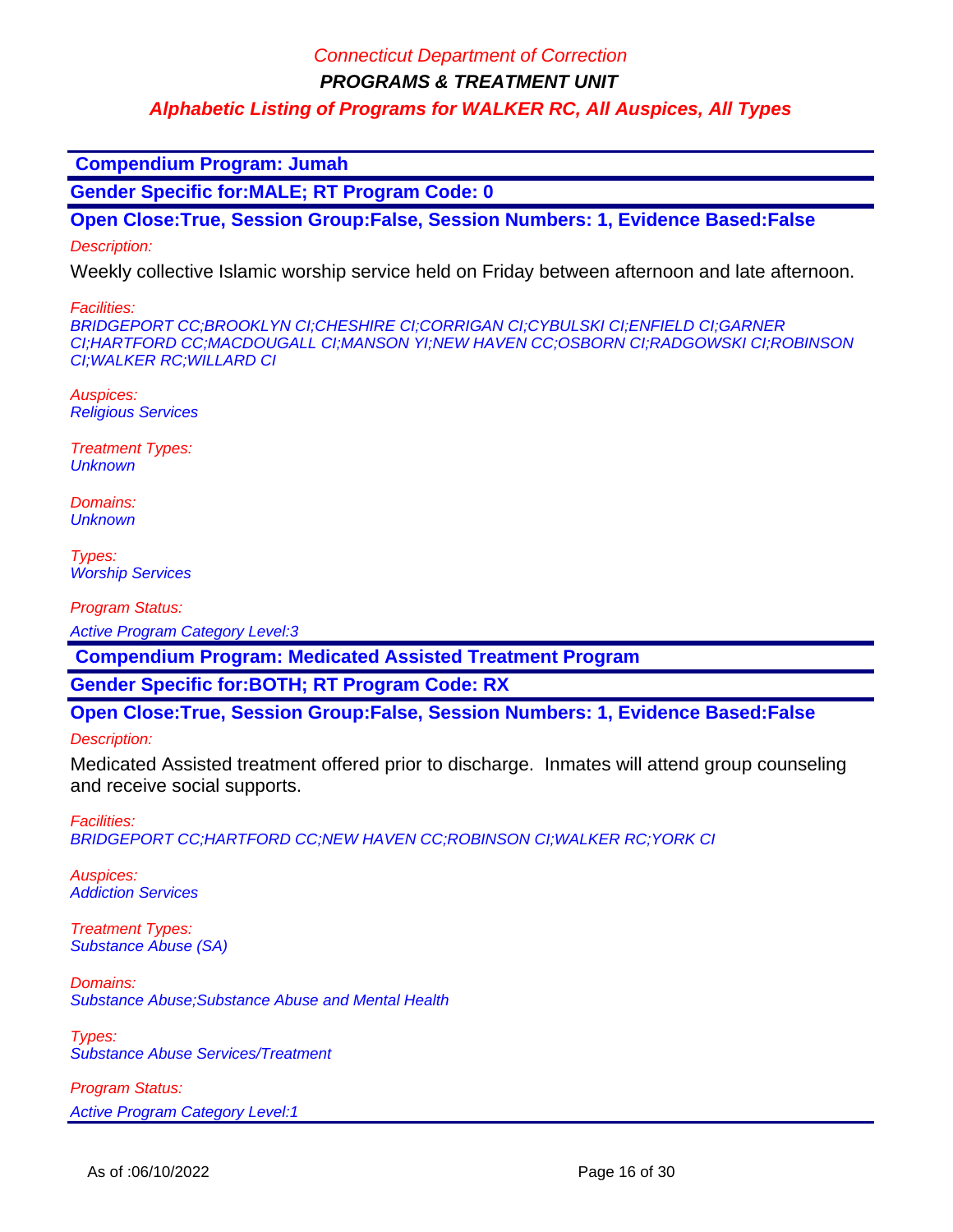**PROGRAMS & TREATMENT UNIT**

**Alphabetic Listing of Programs for WALKER RC, All Auspices, All Types**

 **Compendium Program: Jumah**

**Gender Specific for:MALE; RT Program Code: 0**

**Open Close:True, Session Group:False, Session Numbers: 1, Evidence Based:False**

Description:

Weekly collective Islamic worship service held on Friday between afternoon and late afternoon.

Facilities:

BRIDGEPORT CC;BROOKLYN CI;CHESHIRE CI;CORRIGAN CI;CYBULSKI CI;ENFIELD CI;GARNER CI;HARTFORD CC;MACDOUGALL CI;MANSON YI;NEW HAVEN CC;OSBORN CI;RADGOWSKI CI;ROBINSON CI;WALKER RC;WILLARD CI

Auspices: Religious Services

Treatment Types: **Unknown** 

Domains: **Unknown** 

Types: **Worship Services** 

Program Status:

Active Program Category Level:3

 **Compendium Program: Medicated Assisted Treatment Program**

**Gender Specific for:BOTH; RT Program Code: RX**

**Open Close:True, Session Group:False, Session Numbers: 1, Evidence Based:False**

Description:

Medicated Assisted treatment offered prior to discharge. Inmates will attend group counseling and receive social supports.

Facilities: BRIDGEPORT CC;HARTFORD CC;NEW HAVEN CC;ROBINSON CI;WALKER RC;YORK CI

Auspices: Addiction Services

Treatment Types: Substance Abuse (SA)

Domains: Substance Abuse;Substance Abuse and Mental Health

Types: Substance Abuse Services/Treatment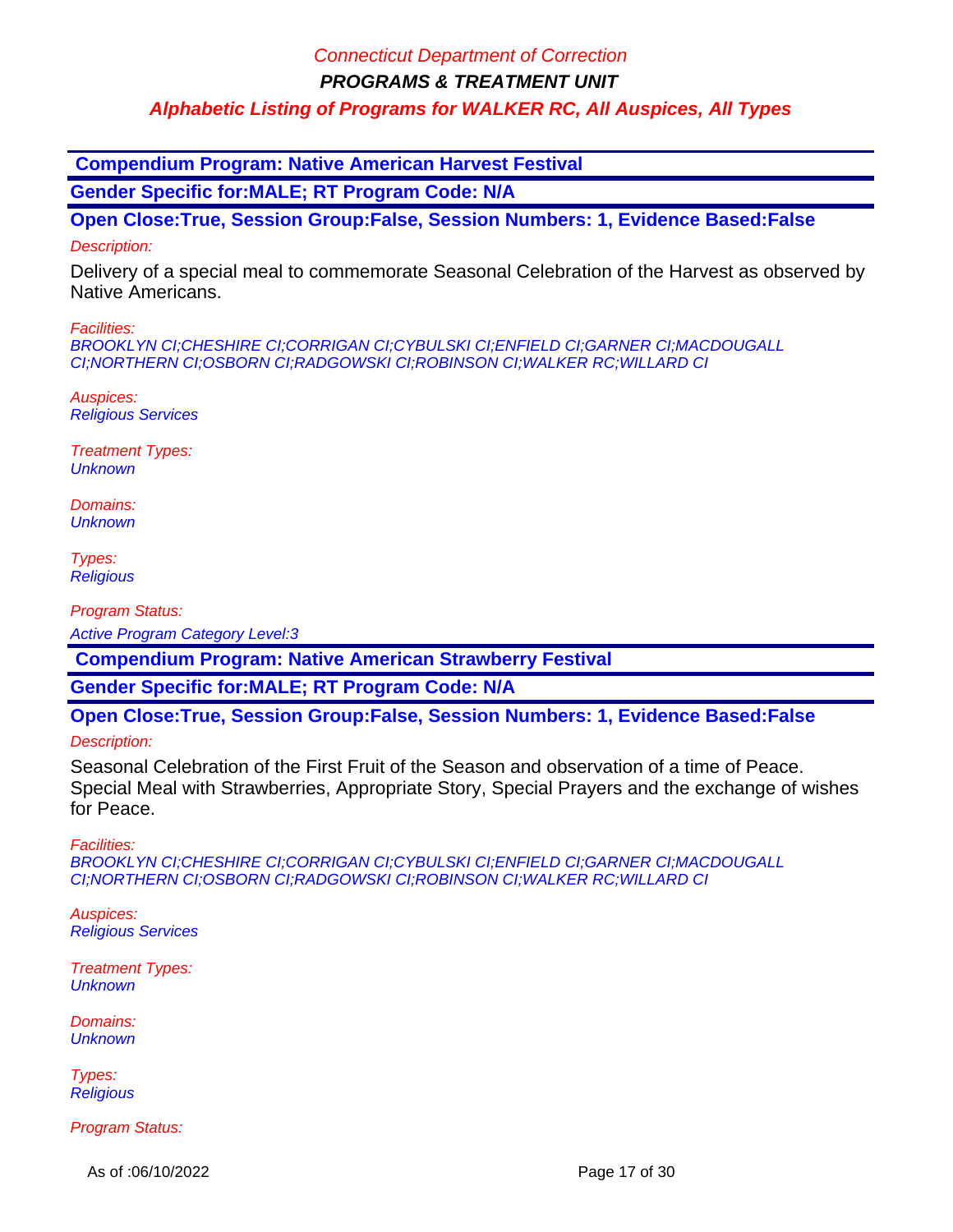**PROGRAMS & TREATMENT UNIT**

**Alphabetic Listing of Programs for WALKER RC, All Auspices, All Types**

 **Compendium Program: Native American Harvest Festival**

**Gender Specific for:MALE; RT Program Code: N/A**

**Open Close:True, Session Group:False, Session Numbers: 1, Evidence Based:False**

### Description:

Delivery of a special meal to commemorate Seasonal Celebration of the Harvest as observed by Native Americans.

Facilities:

BROOKLYN CI;CHESHIRE CI;CORRIGAN CI;CYBULSKI CI;ENFIELD CI;GARNER CI;MACDOUGALL CI;NORTHERN CI;OSBORN CI;RADGOWSKI CI;ROBINSON CI;WALKER RC;WILLARD CI

Auspices: Religious Services

Treatment Types: **Unknown** 

Domains: **Unknown** 

Types: **Religious** 

Program Status:

Active Program Category Level:3

 **Compendium Program: Native American Strawberry Festival**

**Gender Specific for:MALE; RT Program Code: N/A**

**Open Close:True, Session Group:False, Session Numbers: 1, Evidence Based:False**

Description:

Seasonal Celebration of the First Fruit of the Season and observation of a time of Peace. Special Meal with Strawberries, Appropriate Story, Special Prayers and the exchange of wishes for Peace.

Facilities:

BROOKLYN CI;CHESHIRE CI;CORRIGAN CI;CYBULSKI CI;ENFIELD CI;GARNER CI;MACDOUGALL CI;NORTHERN CI;OSBORN CI;RADGOWSKI CI;ROBINSON CI;WALKER RC;WILLARD CI

Auspices: Religious Services

Treatment Types: **Unknown** 

Domains: **Unknown** 

Types: **Religious** 

Program Status:

As of :06/10/2022 **Page 17 of 30**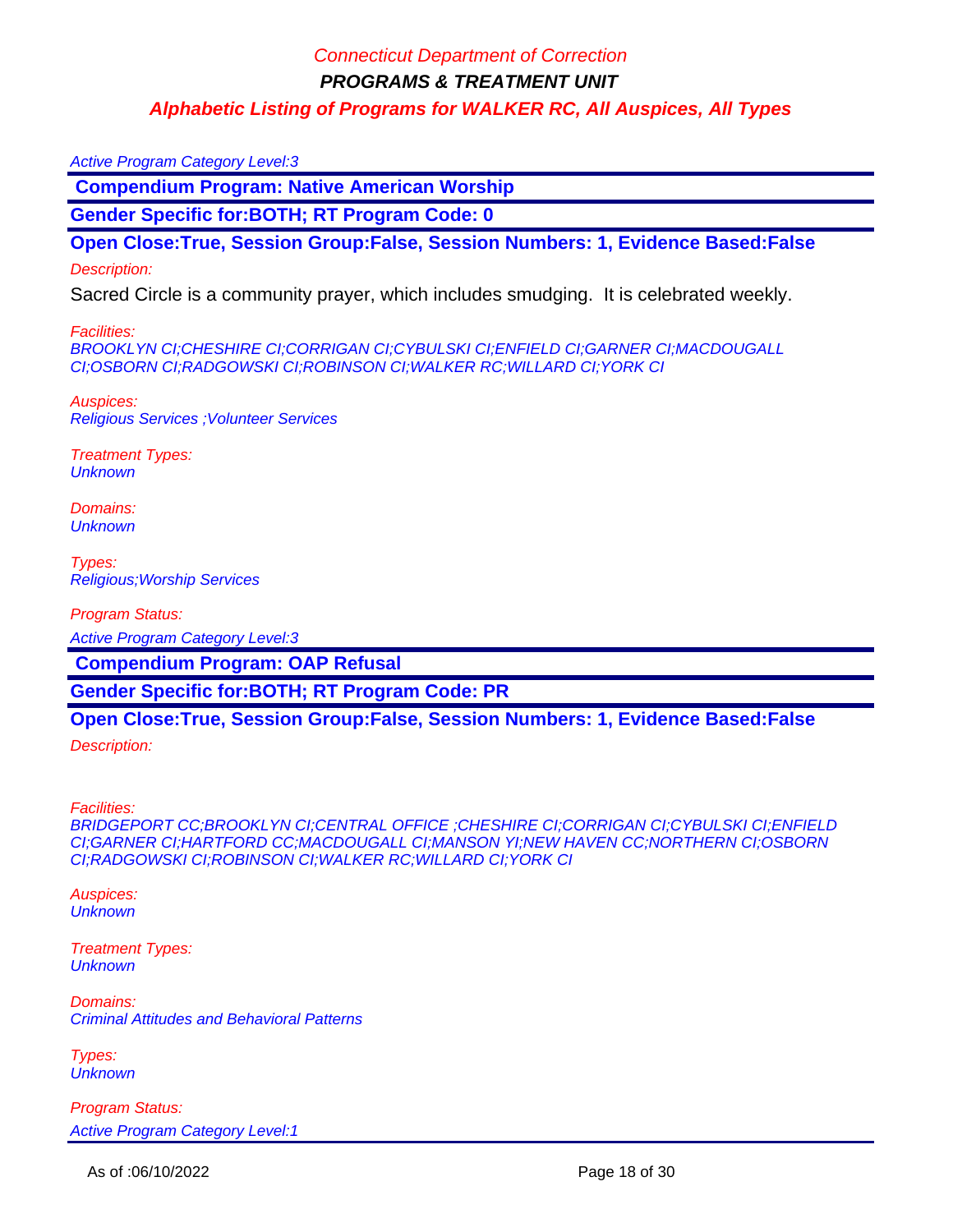#### Active Program Category Level:3

 **Compendium Program: Native American Worship**

**Gender Specific for:BOTH; RT Program Code: 0**

**Open Close:True, Session Group:False, Session Numbers: 1, Evidence Based:False**

#### Description:

Sacred Circle is a community prayer, which includes smudging. It is celebrated weekly.

Facilities:

BROOKLYN CI;CHESHIRE CI;CORRIGAN CI;CYBULSKI CI;ENFIELD CI;GARNER CI;MACDOUGALL CI;OSBORN CI;RADGOWSKI CI;ROBINSON CI;WALKER RC;WILLARD CI;YORK CI

Auspices: Religious Services ;Volunteer Services

Treatment Types: **Unknown** 

Domains: **Unknown** 

Types: Religious;Worship Services

Program Status:

Active Program Category Level:3

 **Compendium Program: OAP Refusal**

**Gender Specific for:BOTH; RT Program Code: PR**

#### **Open Close:True, Session Group:False, Session Numbers: 1, Evidence Based:False**

Description:

Facilities:

BRIDGEPORT CC;BROOKLYN CI;CENTRAL OFFICE ;CHESHIRE CI;CORRIGAN CI;CYBULSKI CI;ENFIELD CI;GARNER CI;HARTFORD CC;MACDOUGALL CI;MANSON YI;NEW HAVEN CC;NORTHERN CI;OSBORN CI;RADGOWSKI CI;ROBINSON CI;WALKER RC;WILLARD CI;YORK CI

Auspices: **Unknown** 

Treatment Types: **Unknown** 

Domains: Criminal Attitudes and Behavioral Patterns

Types: **Unknown**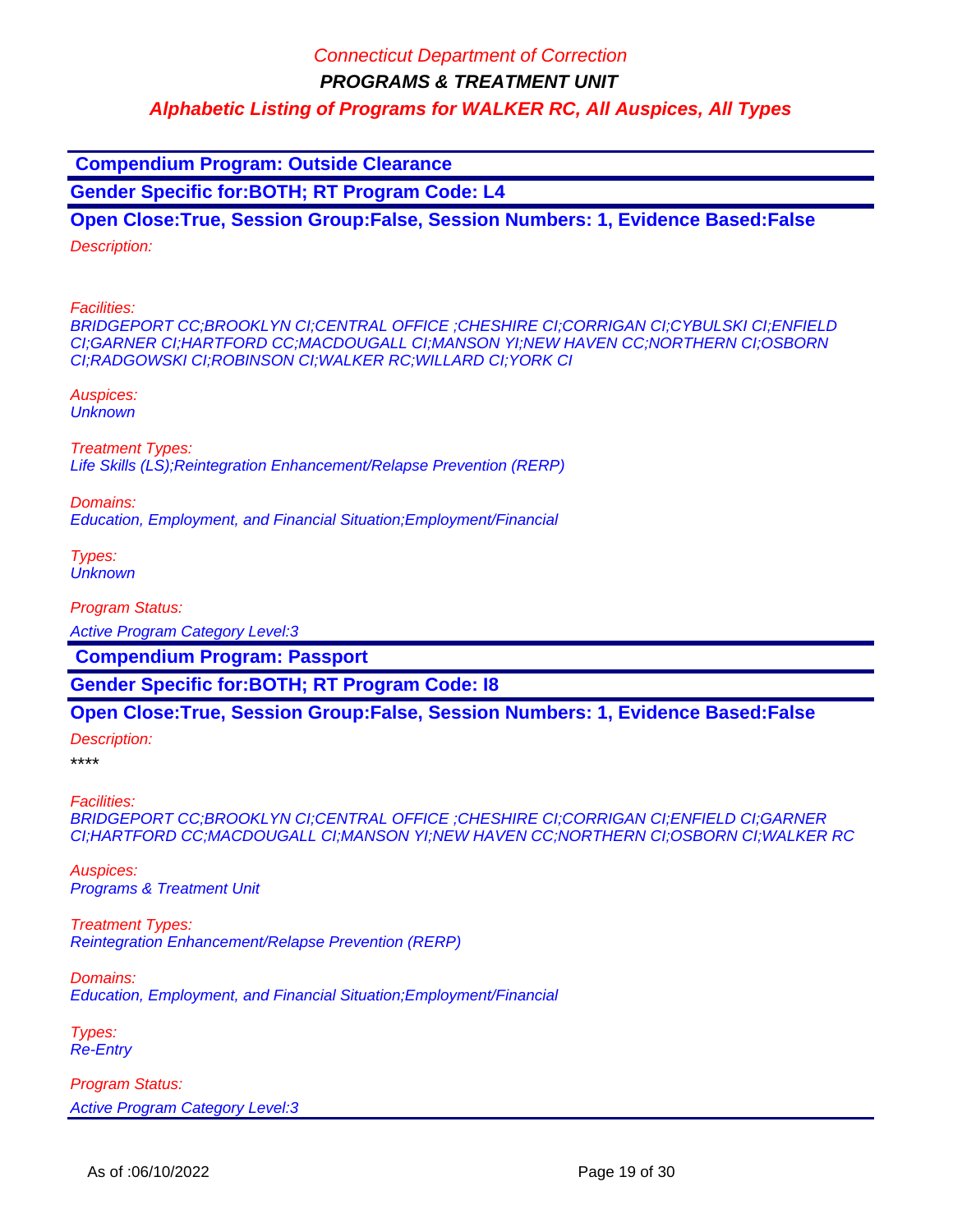**Compendium Program: Outside Clearance**

**Gender Specific for:BOTH; RT Program Code: L4**

**Open Close:True, Session Group:False, Session Numbers: 1, Evidence Based:False**

Description:

Facilities:

BRIDGEPORT CC;BROOKLYN CI;CENTRAL OFFICE ;CHESHIRE CI;CORRIGAN CI;CYBULSKI CI;ENFIELD CI;GARNER CI;HARTFORD CC;MACDOUGALL CI;MANSON YI;NEW HAVEN CC;NORTHERN CI;OSBORN CI;RADGOWSKI CI;ROBINSON CI;WALKER RC;WILLARD CI;YORK CI

Auspices: **Unknown** 

Treatment Types: Life Skills (LS);Reintegration Enhancement/Relapse Prevention (RERP)

Domains:

Education, Employment, and Financial Situation;Employment/Financial

Types: **Unknown** 

Program Status:

Active Program Category Level:3

 **Compendium Program: Passport**

**Gender Specific for:BOTH; RT Program Code: I8**

### **Open Close:True, Session Group:False, Session Numbers: 1, Evidence Based:False**

Description:

\*\*\*\*

Facilities:

BRIDGEPORT CC;BROOKLYN CI;CENTRAL OFFICE ;CHESHIRE CI;CORRIGAN CI;ENFIELD CI;GARNER CI;HARTFORD CC;MACDOUGALL CI;MANSON YI;NEW HAVEN CC;NORTHERN CI;OSBORN CI;WALKER RC

Auspices: Programs & Treatment Unit

Treatment Types: Reintegration Enhancement/Relapse Prevention (RERP)

Domains: Education, Employment, and Financial Situation;Employment/Financial

Types: Re-Entry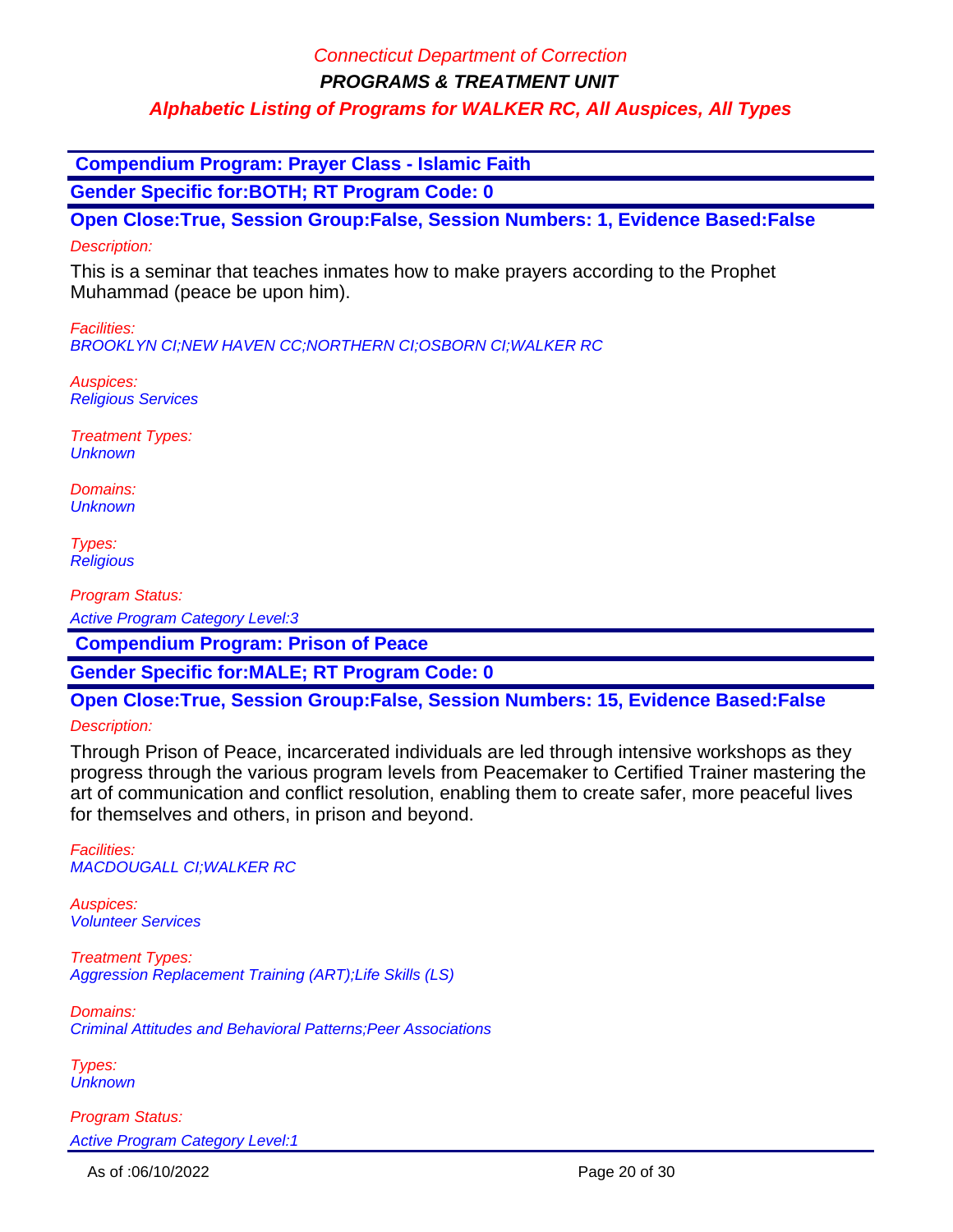**PROGRAMS & TREATMENT UNIT**

**Alphabetic Listing of Programs for WALKER RC, All Auspices, All Types**

 **Compendium Program: Prayer Class - Islamic Faith**

**Gender Specific for:BOTH; RT Program Code: 0**

**Open Close:True, Session Group:False, Session Numbers: 1, Evidence Based:False** Description:

This is a seminar that teaches inmates how to make prayers according to the Prophet Muhammad (peace be upon him).

Facilities: BROOKLYN CI;NEW HAVEN CC;NORTHERN CI;OSBORN CI;WALKER RC

Auspices: Religious Services

Treatment Types: **Unknown** 

Domains: **Unknown** 

Types: **Religious** 

Program Status:

Active Program Category Level:3

 **Compendium Program: Prison of Peace**

**Gender Specific for:MALE; RT Program Code: 0**

**Open Close:True, Session Group:False, Session Numbers: 15, Evidence Based:False**

#### Description:

Through Prison of Peace, incarcerated individuals are led through intensive workshops as they progress through the various program levels from Peacemaker to Certified Trainer mastering the art of communication and conflict resolution, enabling them to create safer, more peaceful lives for themselves and others, in prison and beyond.

Facilities: MACDOUGALL CI;WALKER RC

Auspices: Volunteer Services

Treatment Types: Aggression Replacement Training (ART);Life Skills (LS)

Domains: Criminal Attitudes and Behavioral Patterns;Peer Associations

Types: **Unknown**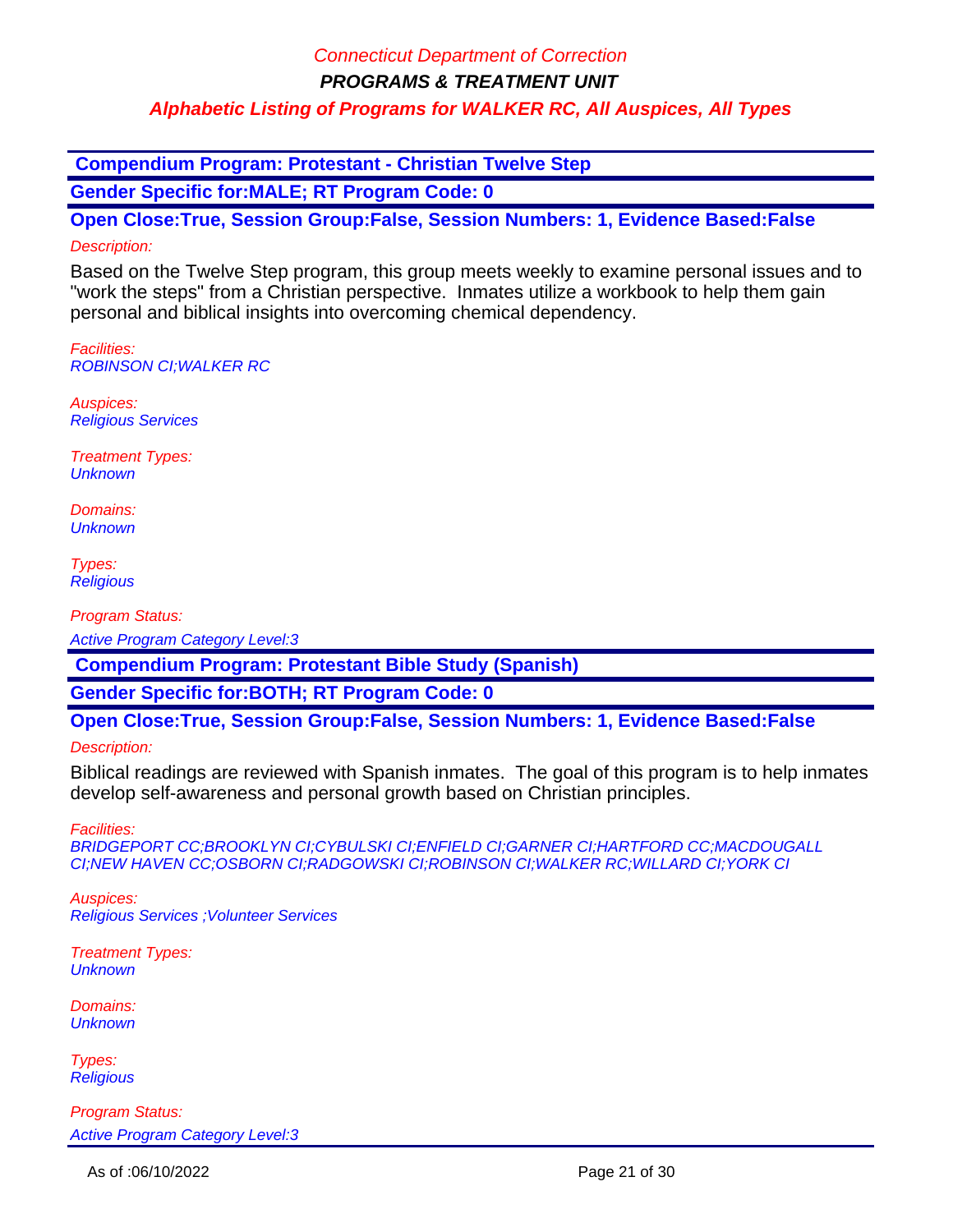**PROGRAMS & TREATMENT UNIT**

### **Alphabetic Listing of Programs for WALKER RC, All Auspices, All Types**

 **Compendium Program: Protestant - Christian Twelve Step**

**Gender Specific for:MALE; RT Program Code: 0**

**Open Close:True, Session Group:False, Session Numbers: 1, Evidence Based:False** Description:

Based on the Twelve Step program, this group meets weekly to examine personal issues and to "work the steps" from a Christian perspective. Inmates utilize a workbook to help them gain personal and biblical insights into overcoming chemical dependency.

Facilities: ROBINSON CI;WALKER RC

Auspices: Religious Services

Treatment Types: **Unknown** 

Domains: **Unknown** 

Types: **Religious** 

Program Status:

Active Program Category Level:3

 **Compendium Program: Protestant Bible Study (Spanish)**

**Gender Specific for:BOTH; RT Program Code: 0**

**Open Close:True, Session Group:False, Session Numbers: 1, Evidence Based:False**

Description:

Biblical readings are reviewed with Spanish inmates. The goal of this program is to help inmates develop self-awareness and personal growth based on Christian principles.

Facilities:

BRIDGEPORT CC;BROOKLYN CI;CYBULSKI CI;ENFIELD CI;GARNER CI;HARTFORD CC;MACDOUGALL CI;NEW HAVEN CC;OSBORN CI;RADGOWSKI CI;ROBINSON CI;WALKER RC;WILLARD CI;YORK CI

Auspices: Religious Services ;Volunteer Services

Treatment Types: **Unknown** 

Domains: **Unknown** 

Types: **Religious**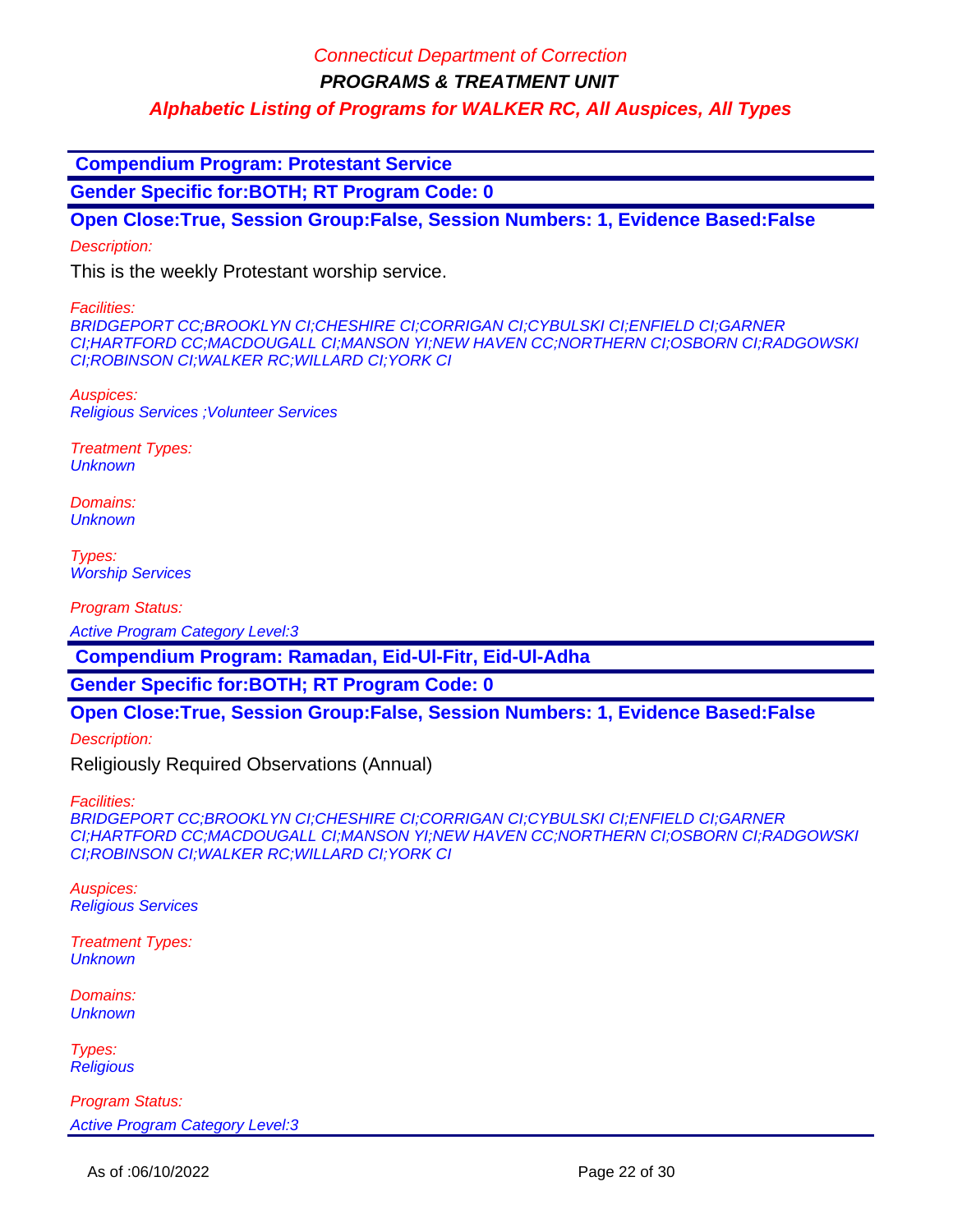**PROGRAMS & TREATMENT UNIT**

**Alphabetic Listing of Programs for WALKER RC, All Auspices, All Types**

 **Compendium Program: Protestant Service**

**Gender Specific for:BOTH; RT Program Code: 0**

**Open Close:True, Session Group:False, Session Numbers: 1, Evidence Based:False**

Description:

This is the weekly Protestant worship service.

Facilities:

BRIDGEPORT CC;BROOKLYN CI;CHESHIRE CI;CORRIGAN CI;CYBULSKI CI;ENFIELD CI;GARNER CI;HARTFORD CC;MACDOUGALL CI;MANSON YI;NEW HAVEN CC;NORTHERN CI;OSBORN CI;RADGOWSKI CI;ROBINSON CI;WALKER RC;WILLARD CI;YORK CI

Auspices: Religious Services ;Volunteer Services

Treatment Types: **Unknown** 

Domains: **Unknown** 

Types: **Worship Services** 

Program Status:

Active Program Category Level:3

 **Compendium Program: Ramadan, Eid-Ul-Fitr, Eid-Ul-Adha**

**Gender Specific for:BOTH; RT Program Code: 0**

**Open Close:True, Session Group:False, Session Numbers: 1, Evidence Based:False**

Description:

Religiously Required Observations (Annual)

Facilities:

BRIDGEPORT CC;BROOKLYN CI;CHESHIRE CI;CORRIGAN CI;CYBULSKI CI;ENFIELD CI;GARNER CI;HARTFORD CC;MACDOUGALL CI;MANSON YI;NEW HAVEN CC;NORTHERN CI;OSBORN CI;RADGOWSKI CI;ROBINSON CI;WALKER RC;WILLARD CI;YORK CI

Auspices: Religious Services

Treatment Types: **Unknown** 

Domains: **Unknown** 

Types: **Religious**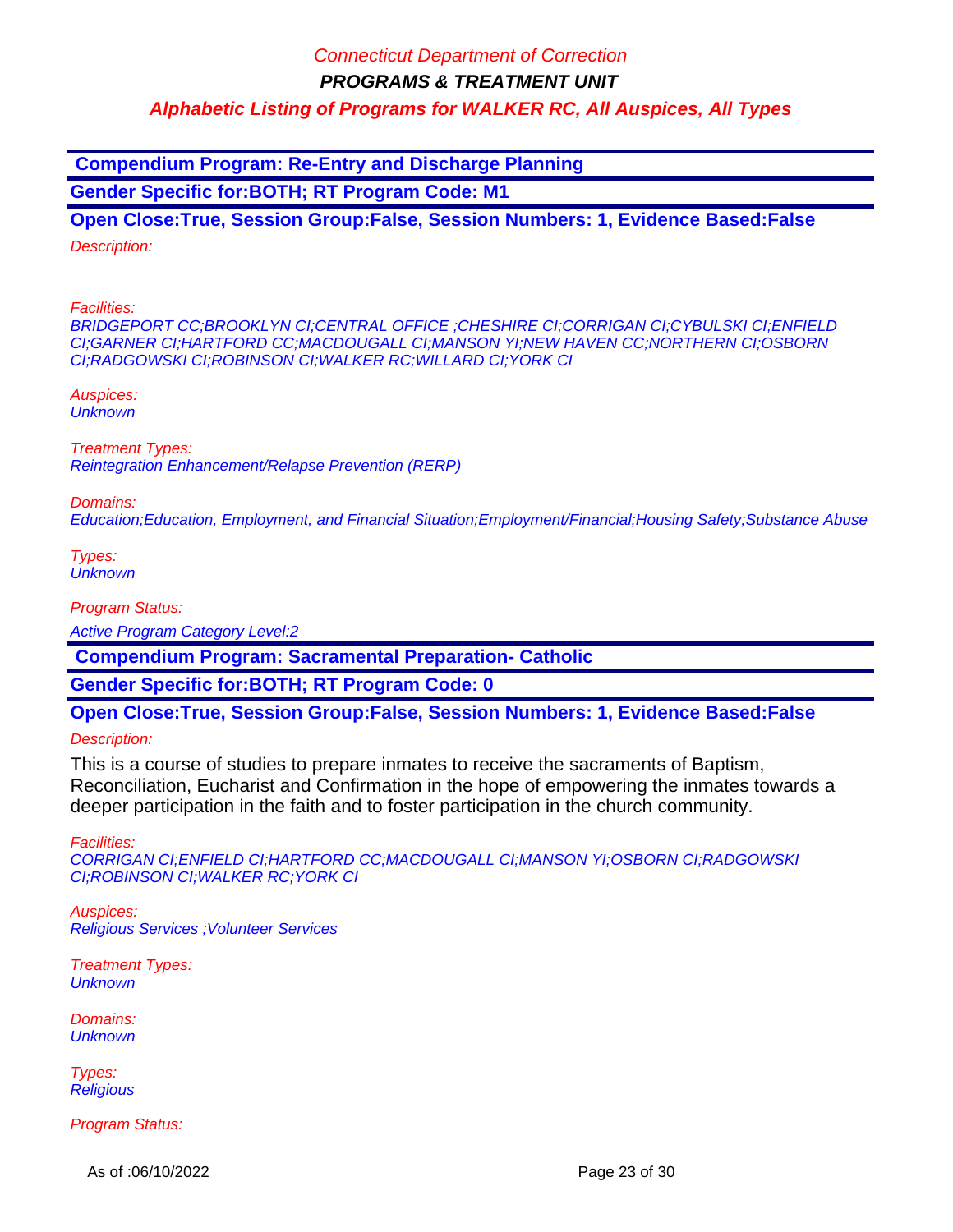**Compendium Program: Re-Entry and Discharge Planning Gender Specific for:BOTH; RT Program Code: M1**

**Open Close:True, Session Group:False, Session Numbers: 1, Evidence Based:False** Description:

Facilities:

BRIDGEPORT CC;BROOKLYN CI;CENTRAL OFFICE ;CHESHIRE CI;CORRIGAN CI;CYBULSKI CI;ENFIELD CI;GARNER CI;HARTFORD CC;MACDOUGALL CI;MANSON YI;NEW HAVEN CC;NORTHERN CI;OSBORN CI;RADGOWSKI CI;ROBINSON CI;WALKER RC;WILLARD CI;YORK CI

Auspices: **Unknown** 

Treatment Types: Reintegration Enhancement/Relapse Prevention (RERP)

Domains:

Education;Education, Employment, and Financial Situation;Employment/Financial;Housing Safety;Substance Abuse

Types: **Unknown** 

Program Status:

Active Program Category Level:2

 **Compendium Program: Sacramental Preparation- Catholic**

**Gender Specific for:BOTH; RT Program Code: 0**

**Open Close:True, Session Group:False, Session Numbers: 1, Evidence Based:False**

Description:

This is a course of studies to prepare inmates to receive the sacraments of Baptism, Reconciliation, Eucharist and Confirmation in the hope of empowering the inmates towards a deeper participation in the faith and to foster participation in the church community.

Facilities:

CORRIGAN CI;ENFIELD CI;HARTFORD CC;MACDOUGALL CI;MANSON YI;OSBORN CI;RADGOWSKI CI;ROBINSON CI;WALKER RC;YORK CI

Auspices: Religious Services ;Volunteer Services

Treatment Types: **Unknown** 

Domains: **Unknown** 

Types: **Religious** 

Program Status:

As of :06/10/2022 **Page 23 of 30**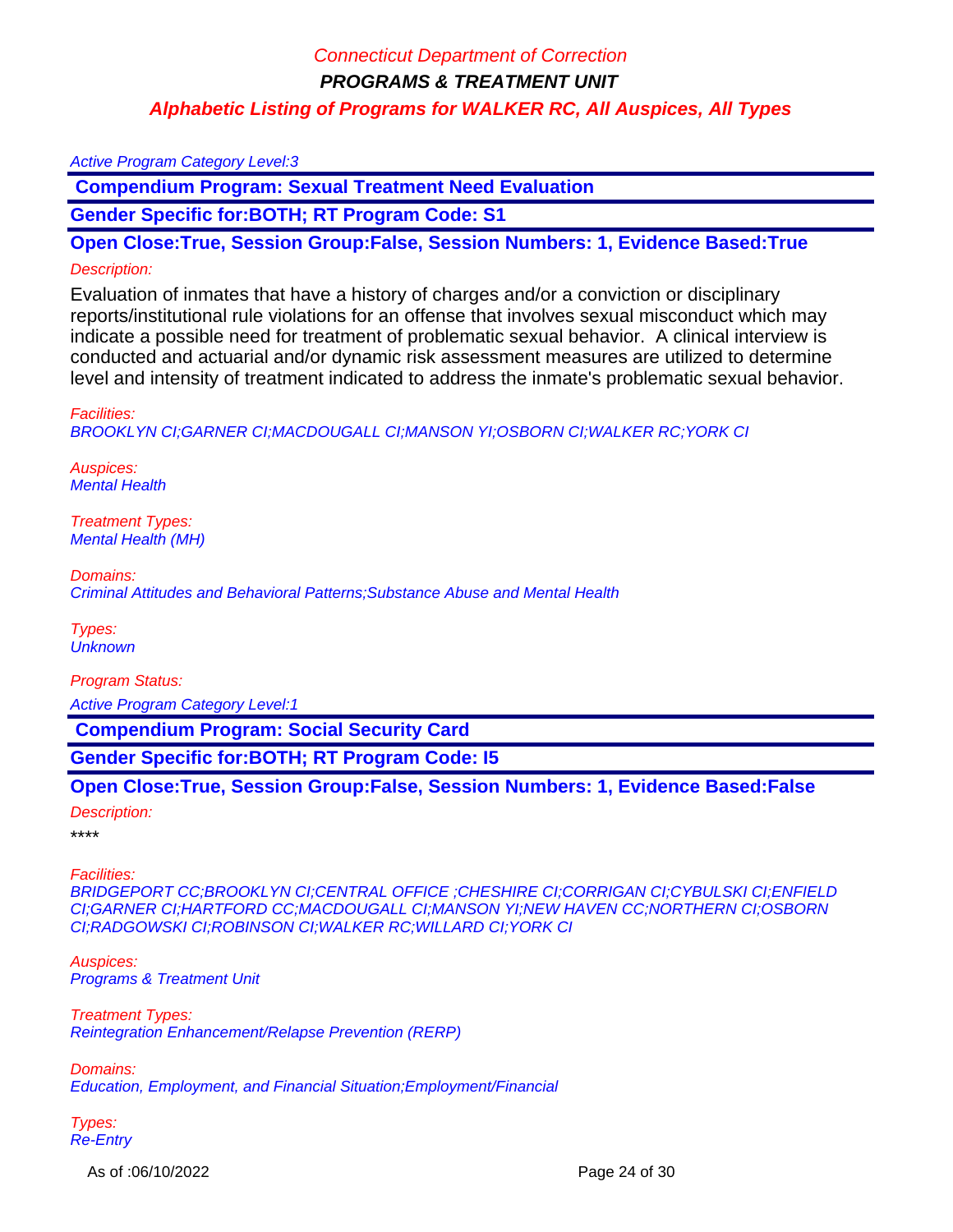#### Active Program Category Level:3

 **Compendium Program: Sexual Treatment Need Evaluation** 

**Gender Specific for:BOTH; RT Program Code: S1**

**Open Close:True, Session Group:False, Session Numbers: 1, Evidence Based:True**

#### Description:

Evaluation of inmates that have a history of charges and/or a conviction or disciplinary reports/institutional rule violations for an offense that involves sexual misconduct which may indicate a possible need for treatment of problematic sexual behavior. A clinical interview is conducted and actuarial and/or dynamic risk assessment measures are utilized to determine level and intensity of treatment indicated to address the inmate's problematic sexual behavior.

#### Facilities:

BROOKLYN CI;GARNER CI;MACDOUGALL CI;MANSON YI;OSBORN CI;WALKER RC;YORK CI

Auspices: Mental Health

Treatment Types: Mental Health (MH)

Domains: Criminal Attitudes and Behavioral Patterns;Substance Abuse and Mental Health

Types: **Unknown** 

Program Status:

Active Program Category Level:1

 **Compendium Program: Social Security Card**

**Gender Specific for:BOTH; RT Program Code: I5**

### **Open Close:True, Session Group:False, Session Numbers: 1, Evidence Based:False**

#### Description:

\*\*\*\*

#### Facilities:

BRIDGEPORT CC;BROOKLYN CI;CENTRAL OFFICE ;CHESHIRE CI;CORRIGAN CI;CYBULSKI CI;ENFIELD CI;GARNER CI;HARTFORD CC;MACDOUGALL CI;MANSON YI;NEW HAVEN CC;NORTHERN CI;OSBORN CI;RADGOWSKI CI;ROBINSON CI;WALKER RC;WILLARD CI;YORK CI

Auspices: Programs & Treatment Unit

Treatment Types: Reintegration Enhancement/Relapse Prevention (RERP)

Domains: Education, Employment, and Financial Situation;Employment/Financial

Types: Re-Entry

As of :06/10/2022 **Page 24 of 30**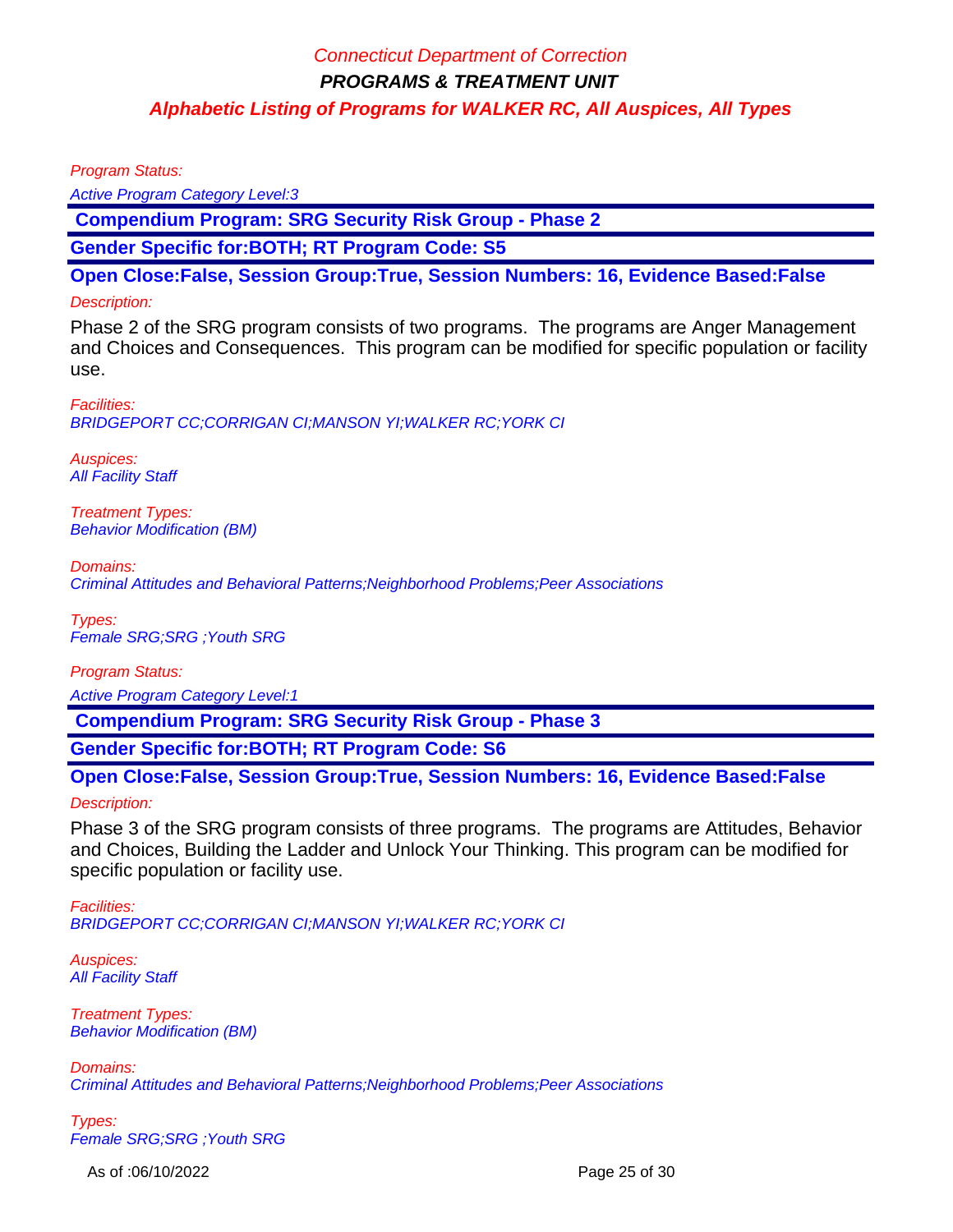Program Status:

Active Program Category Level:3

 **Compendium Program: SRG Security Risk Group - Phase 2**

**Gender Specific for:BOTH; RT Program Code: S5**

**Open Close:False, Session Group:True, Session Numbers: 16, Evidence Based:False**

### Description:

Phase 2 of the SRG program consists of two programs. The programs are Anger Management and Choices and Consequences. This program can be modified for specific population or facility use.

Facilities: BRIDGEPORT CC;CORRIGAN CI;MANSON YI;WALKER RC;YORK CI

Auspices: **All Facility Staff** 

Treatment Types: Behavior Modification (BM)

Domains: Criminal Attitudes and Behavioral Patterns;Neighborhood Problems;Peer Associations

Types: Female SRG;SRG ;Youth SRG

Program Status: Active Program Category Level:1

 **Compendium Program: SRG Security Risk Group - Phase 3**

**Gender Specific for:BOTH; RT Program Code: S6**

**Open Close:False, Session Group:True, Session Numbers: 16, Evidence Based:False**

Description:

Phase 3 of the SRG program consists of three programs. The programs are Attitudes, Behavior and Choices, Building the Ladder and Unlock Your Thinking. This program can be modified for specific population or facility use.

Facilities: BRIDGEPORT CC;CORRIGAN CI;MANSON YI;WALKER RC;YORK CI

Auspices: **All Facility Staff** 

Treatment Types: Behavior Modification (BM)

Domains: Criminal Attitudes and Behavioral Patterns;Neighborhood Problems;Peer Associations

Types: Female SRG;SRG ;Youth SRG

As of :06/10/2022 **Page 25 of 30**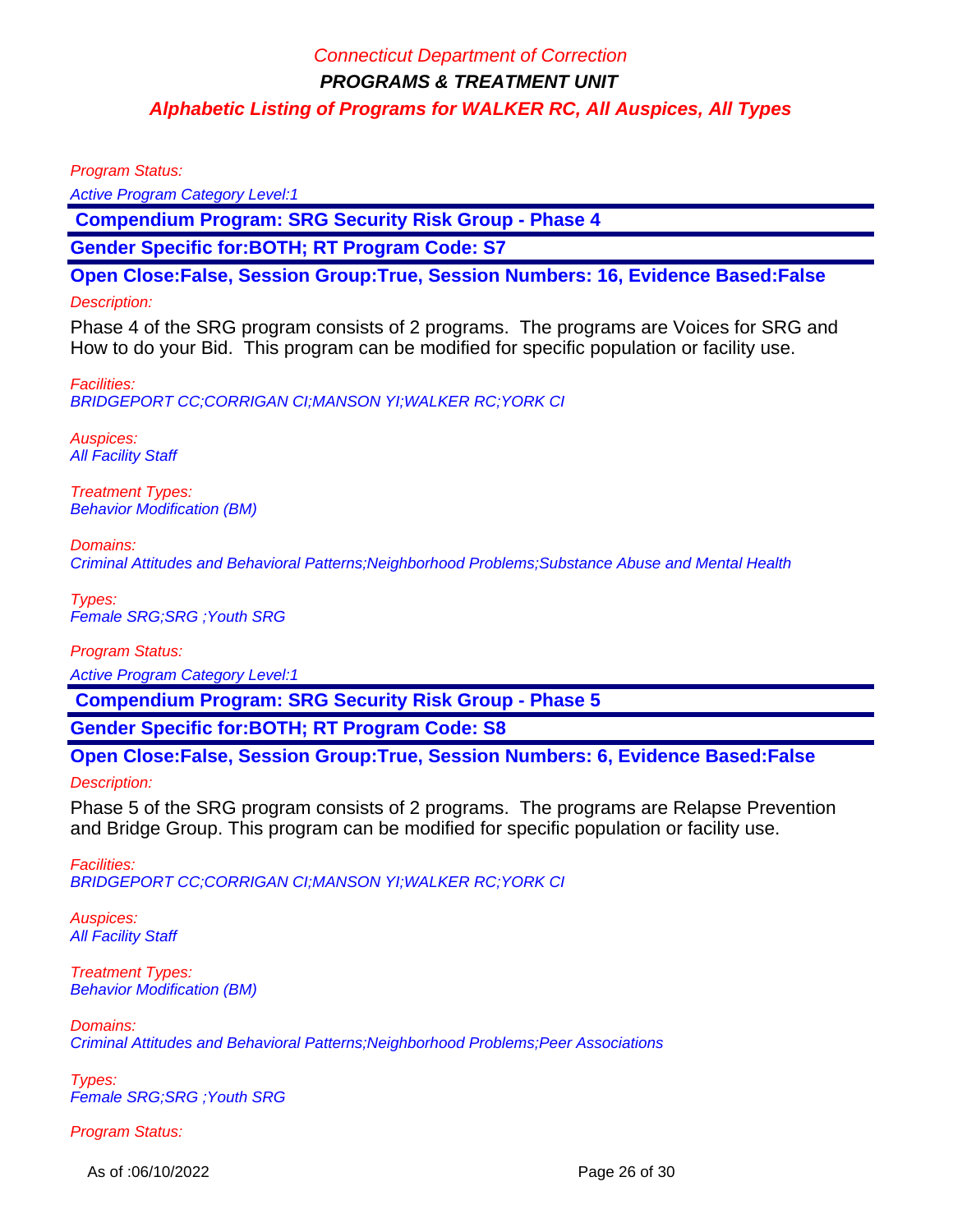Program Status:

Active Program Category Level:1

 **Compendium Program: SRG Security Risk Group - Phase 4**

**Gender Specific for:BOTH; RT Program Code: S7**

**Open Close:False, Session Group:True, Session Numbers: 16, Evidence Based:False**

### Description:

Phase 4 of the SRG program consists of 2 programs. The programs are Voices for SRG and How to do your Bid. This program can be modified for specific population or facility use.

Facilities: BRIDGEPORT CC;CORRIGAN CI;MANSON YI;WALKER RC;YORK CI

Auspices: **All Facility Staff** 

Treatment Types: Behavior Modification (BM)

Domains: Criminal Attitudes and Behavioral Patterns;Neighborhood Problems;Substance Abuse and Mental Health

Types: Female SRG;SRG ;Youth SRG

Program Status: Active Program Category Level:1

 **Compendium Program: SRG Security Risk Group - Phase 5**

**Gender Specific for:BOTH; RT Program Code: S8**

**Open Close:False, Session Group:True, Session Numbers: 6, Evidence Based:False** Description:

Phase 5 of the SRG program consists of 2 programs. The programs are Relapse Prevention and Bridge Group. This program can be modified for specific population or facility use.

Facilities: BRIDGEPORT CC;CORRIGAN CI;MANSON YI;WALKER RC;YORK CI

Auspices: **All Facility Staff** 

Treatment Types: Behavior Modification (BM)

Domains:

Criminal Attitudes and Behavioral Patterns;Neighborhood Problems;Peer Associations

Types: Female SRG;SRG ;Youth SRG

Program Status:

As of :06/10/2022 **Page 26 of 30**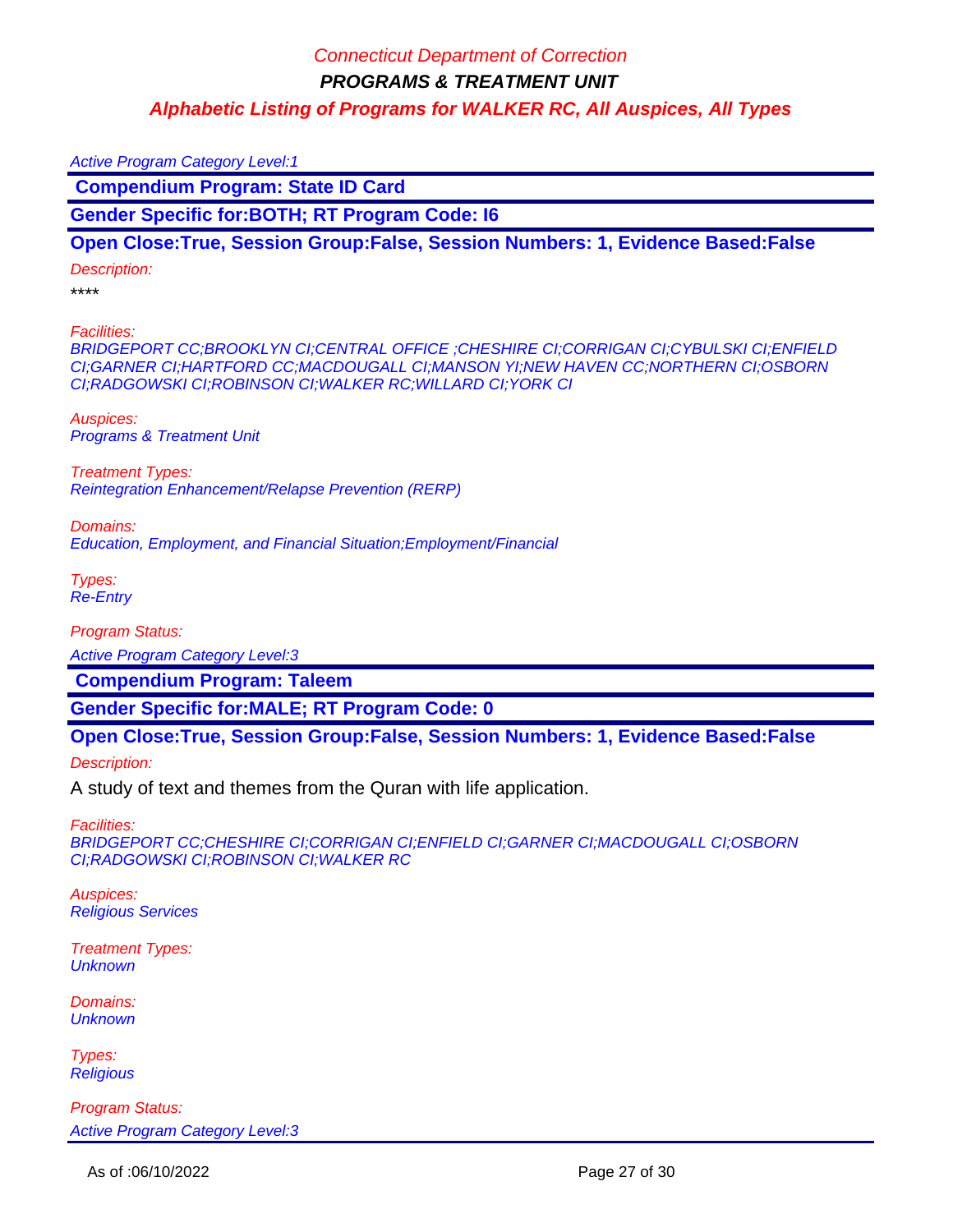Active Program Category Level:1  **Compendium Program: State ID Card Gender Specific for:BOTH; RT Program Code: I6**

**Open Close:True, Session Group:False, Session Numbers: 1, Evidence Based:False**

Description:

\*\*\*\*

Facilities:

BRIDGEPORT CC;BROOKLYN CI;CENTRAL OFFICE ;CHESHIRE CI;CORRIGAN CI;CYBULSKI CI;ENFIELD CI;GARNER CI;HARTFORD CC;MACDOUGALL CI;MANSON YI;NEW HAVEN CC;NORTHERN CI;OSBORN CI;RADGOWSKI CI;ROBINSON CI;WALKER RC;WILLARD CI;YORK CI

Auspices: Programs & Treatment Unit

Treatment Types: Reintegration Enhancement/Relapse Prevention (RERP)

Domains: Education, Employment, and Financial Situation;Employment/Financial

Types: Re-Entry

Program Status:

Active Program Category Level:3

 **Compendium Program: Taleem**

**Gender Specific for:MALE; RT Program Code: 0**

**Open Close:True, Session Group:False, Session Numbers: 1, Evidence Based:False**

Description:

A study of text and themes from the Quran with life application.

Facilities:

BRIDGEPORT CC;CHESHIRE CI;CORRIGAN CI;ENFIELD CI;GARNER CI;MACDOUGALL CI;OSBORN CI;RADGOWSKI CI;ROBINSON CI;WALKER RC

Auspices: Religious Services

Treatment Types: **Unknown** 

Domains: **Unknown** 

Types: **Religious**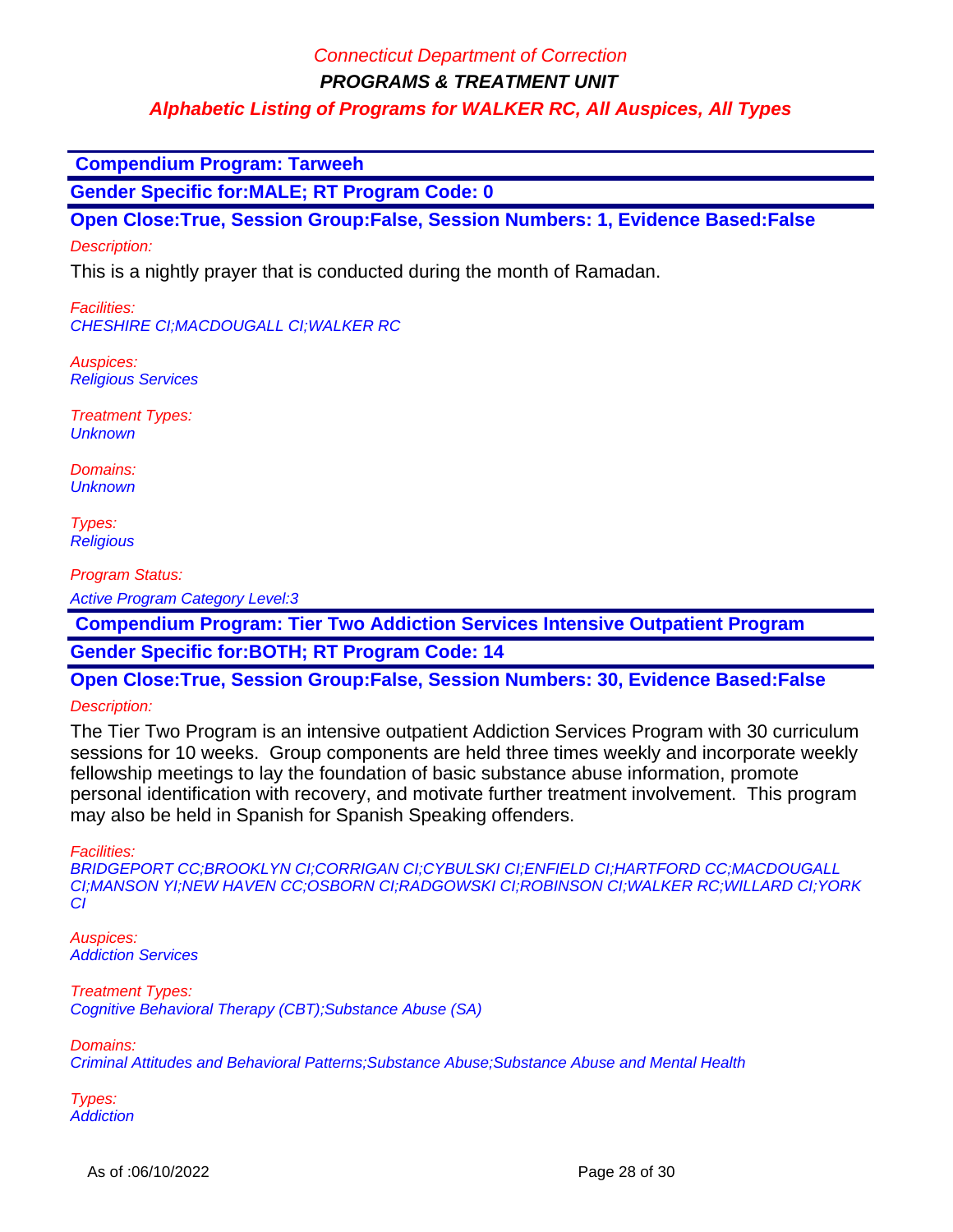**PROGRAMS & TREATMENT UNIT**

**Alphabetic Listing of Programs for WALKER RC, All Auspices, All Types**

 **Compendium Program: Tarweeh**

**Gender Specific for:MALE; RT Program Code: 0**

**Open Close:True, Session Group:False, Session Numbers: 1, Evidence Based:False** Description:

This is a nightly prayer that is conducted during the month of Ramadan.

Facilities: CHESHIRE CI;MACDOUGALL CI;WALKER RC

Auspices: Religious Services

Treatment Types: **Unknown** 

Domains: **Unknown** 

Types: **Religious** 

Program Status:

Active Program Category Level:3

 **Compendium Program: Tier Two Addiction Services Intensive Outpatient Program**

**Gender Specific for:BOTH; RT Program Code: 14**

**Open Close:True, Session Group:False, Session Numbers: 30, Evidence Based:False**

#### Description:

The Tier Two Program is an intensive outpatient Addiction Services Program with 30 curriculum sessions for 10 weeks. Group components are held three times weekly and incorporate weekly fellowship meetings to lay the foundation of basic substance abuse information, promote personal identification with recovery, and motivate further treatment involvement. This program may also be held in Spanish for Spanish Speaking offenders.

Facilities:

BRIDGEPORT CC;BROOKLYN CI;CORRIGAN CI;CYBULSKI CI;ENFIELD CI;HARTFORD CC;MACDOUGALL CI;MANSON YI;NEW HAVEN CC;OSBORN CI;RADGOWSKI CI;ROBINSON CI;WALKER RC;WILLARD CI;YORK CI

Auspices: Addiction Services

Treatment Types: Cognitive Behavioral Therapy (CBT);Substance Abuse (SA)

Domains:

Criminal Attitudes and Behavioral Patterns;Substance Abuse;Substance Abuse and Mental Health

Types: **Addiction**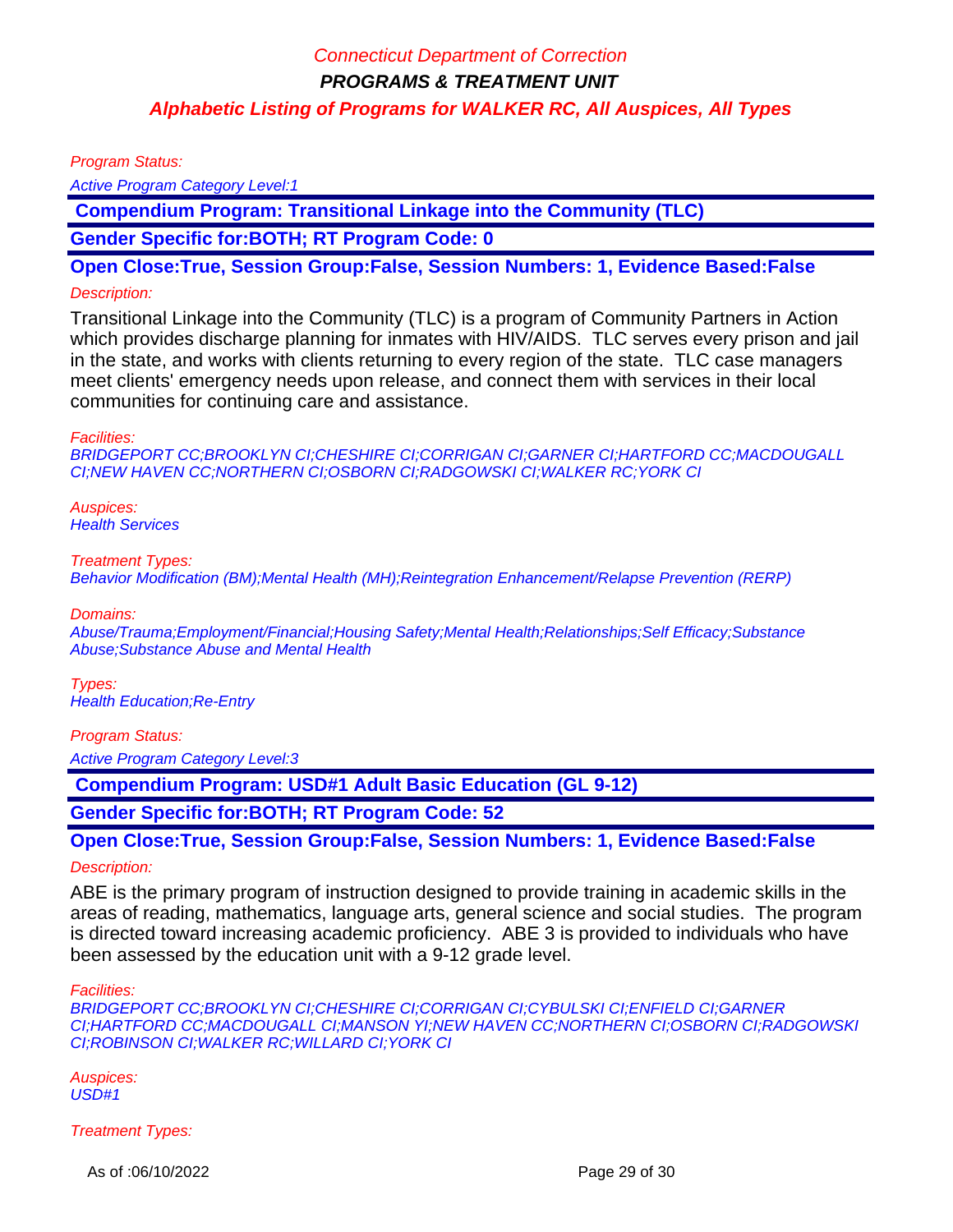Program Status:

Active Program Category Level:1

 **Compendium Program: Transitional Linkage into the Community (TLC)**

**Gender Specific for:BOTH; RT Program Code: 0**

**Open Close:True, Session Group:False, Session Numbers: 1, Evidence Based:False**

#### Description:

Transitional Linkage into the Community (TLC) is a program of Community Partners in Action which provides discharge planning for inmates with HIV/AIDS. TLC serves every prison and jail in the state, and works with clients returning to every region of the state. TLC case managers meet clients' emergency needs upon release, and connect them with services in their local communities for continuing care and assistance.

#### Facilities:

BRIDGEPORT CC;BROOKLYN CI;CHESHIRE CI;CORRIGAN CI;GARNER CI;HARTFORD CC;MACDOUGALL CI;NEW HAVEN CC;NORTHERN CI;OSBORN CI;RADGOWSKI CI;WALKER RC;YORK CI

Auspices: **Health Services** 

#### Treatment Types:

Behavior Modification (BM);Mental Health (MH);Reintegration Enhancement/Relapse Prevention (RERP)

Domains:

Abuse/Trauma;Employment/Financial;Housing Safety;Mental Health;Relationships;Self Efficacy;Substance Abuse;Substance Abuse and Mental Health

Types: Health Education;Re-Entry

Program Status:

Active Program Category Level:3

 **Compendium Program: USD#1 Adult Basic Education (GL 9-12)**

**Gender Specific for:BOTH; RT Program Code: 52**

**Open Close:True, Session Group:False, Session Numbers: 1, Evidence Based:False**

#### Description:

ABE is the primary program of instruction designed to provide training in academic skills in the areas of reading, mathematics, language arts, general science and social studies. The program is directed toward increasing academic proficiency. ABE 3 is provided to individuals who have been assessed by the education unit with a 9-12 grade level.

Facilities:

BRIDGEPORT CC;BROOKLYN CI;CHESHIRE CI;CORRIGAN CI;CYBULSKI CI;ENFIELD CI;GARNER CI;HARTFORD CC;MACDOUGALL CI;MANSON YI;NEW HAVEN CC;NORTHERN CI;OSBORN CI;RADGOWSKI CI;ROBINSON CI;WALKER RC;WILLARD CI;YORK CI

Auspices: USD#1

Treatment Types:

As of :06/10/2022 **Page 29 of 30**